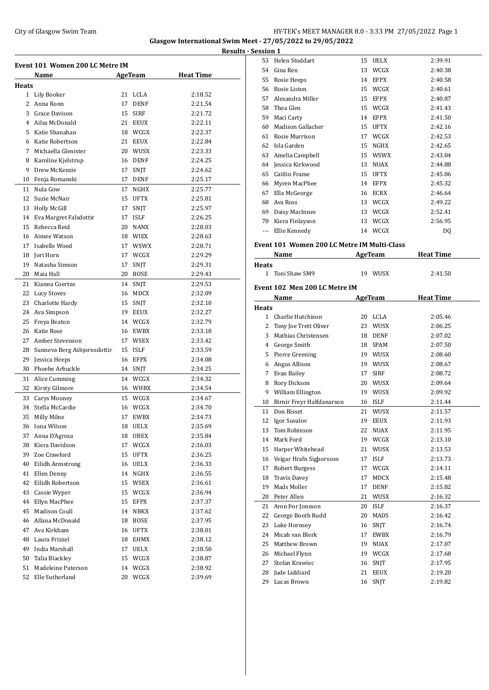#### City of Glasgow Swim Team HY-TEK's MEET MANAGER 8.0 - 3:33 PM 27/05/2022 Page 1 **Glasgow International Swim Meet - 27/05/2022 to 29/05/2022 Results - Ses**

|                | Event 101 Women 200 LC Metre IM<br>Name |    |             | <b>Heat Time</b> |
|----------------|-----------------------------------------|----|-------------|------------------|
| <b>Heats</b>   |                                         |    | AgeTeam     |                  |
|                | 1 Lily Booker                           | 21 | LCLA        | 2:18.52          |
| $\overline{2}$ | Anna Ronn                               | 17 | <b>DENF</b> | 2:21.54          |
| 3              | Grace Davison                           | 15 | <b>SIRF</b> | 2:21.72          |
|                | 4 Ailsa McDonald                        | 21 | <b>EEUX</b> | 2:22.11          |
|                | Katie Shanahan                          |    |             |                  |
| 5.             |                                         |    | 18 WCGX     | 2:22.37          |
| 6              | Katie Robertson<br>Michaella Glenister  | 21 | <b>EEUX</b> | 2:22.84          |
| 7              |                                         |    | 20 WUSX     | 2:23.33          |
| 8              | Karoline Kjelstrup                      |    | 16 DENF     | 2:24.25          |
| 9              | Drew McKenzie                           |    | 17 SNJT     | 2:24.62          |
| 10             | Fenja Romanski                          | 17 | <b>DENF</b> | 2:25.17          |
| 11             | Nula Gow                                | 17 | NGHX        | 2:25.77          |
| 12             | Suzie McNair                            | 15 | UFTX        | 2:25.81          |
|                | 13 Holly McGill                         | 17 | <b>SNJT</b> | 2:25.97          |
| 14             | Eva Margret Falsdottir                  | 17 | <b>ISLF</b> | 2:26.25          |
| 15             | Rebecca Reid                            | 20 | <b>NANX</b> | 2:28.03          |
| 16             | Aimee Watson                            |    | 18 WIEX     | 2:28.63          |
| 17             | Isabelle Wood                           |    | 17 WSWX     | 2:28.71          |
|                | 18 Jori Horn                            |    | 17 WCGX     | 2:29.29          |
| 19             | Natasha Simson                          | 17 | SNJT        | 2:29.31          |
| 20             | Maia Hall                               | 20 | <b>BOSE</b> | 2:29.43          |
| 21             | Kianna Coertze                          |    | 14 SNJT     | 2:29.53          |
|                | 22 Lucy Stoves                          |    | 16 MDCX     | 2:32.09          |
|                | 23 Charlotte Hardy                      |    | 15 SNJT     | 2:32.10          |
|                | 24 Ava Simpson                          |    | 19 EEUX     | 2:32.27          |
| 25             | Freya Beaton                            |    | 14 WCGX     | 2:32.79          |
| 26             | Katie Rose                              |    | 16 EWBX     | 2:33.18          |
| 27             | Amber Stevenson                         |    | 17 WSEX     | 2:33.42          |
| 28             | Sunneva Berg Asbjornsdottir             |    | 15 ISLF     | 2:33.59          |
| 29             | Jessica Heeps                           |    | 16 EFPX     | 2:34.08          |
| 30             | Phoebe Arbuckle                         |    | 14 SNJT     | 2:34.25          |
| 31             | Alice Cumming                           | 14 | WCGX        | 2:34.32          |
| 32             | Kirsty Gilmore                          |    | 16 WHBX     | 2:34.54          |
| 33             | Carys Mooney                            |    | 15 WCGX     | 2:34.67          |
| 34             | Stella McCardie                         | 16 | WCGX        | 2:34.70          |
| 35             | Milly Milne                             | 17 | <b>EWBX</b> | 2:34.73          |
| 36             | Iona Wilson                             | 18 | <b>UELX</b> | 2:35.69          |
| 37             | Anna D'Agrosa                           | 18 | UBEX        | 2:35.84          |
| 38             | Kiera Davidson                          |    | 17 WCGX     | 2:36.03          |
| 39             | Zoe Crawford                            | 15 | UFTX        | 2:36.25          |
| 40             | Eilidh Armstrong                        | 16 | UELX        | 2:36.33          |
| 41             | Ellen Denny                             | 14 | NGHX        | 2:36.55          |
| 42             | Eilidh Robertson                        |    | 15 WSEX     | 2:36.61          |
| 43             | Cassie Wyper                            | 15 | <b>WCGX</b> | 2:36.94          |
| 44             | Ellyn MacPhee                           | 15 | <b>EFPX</b> | 2:37.37          |
| 45             | Madison Coull                           | 14 |             | 2:37.62          |
|                |                                         |    | <b>NBKX</b> |                  |
| 46             | Allana McDonald                         | 18 | BOSE        | 2:37.95          |
| 47             | Ava Kirkham                             | 16 | UFTX        | 2:38.01          |
| 48             | Laura Frizzel                           | 18 | EHMX        | 2:38.12          |
| 49             | India Marshall                          | 17 | UELX        | 2:38.50          |
| 50             | Talia Blackley                          |    | 15 WCGX     | 2:38.87          |
| 51             | Madeleine Paterson                      |    | 14 WCGX     | 2:38.92          |
| 52             | Elle Sutherland                         | 20 | <b>WCGX</b> | 2:39.69          |

| ssion 1 |                   |    |             |         |
|---------|-------------------|----|-------------|---------|
| 53      | Helen Stoddart    | 15 | <b>UELX</b> | 2:39.91 |
| 54      | Gina Ren          | 13 | WCGX        | 2:40.38 |
| 55      | Rosie Heeps       | 14 | <b>EFPX</b> | 2:40.58 |
| 56      | Rosie Liston      | 15 | WCGX        | 2:40.61 |
| 57      | Alexandra Miller  | 15 | <b>EFPX</b> | 2:40.87 |
| 58      | Thea Glen         | 15 | WCGX        | 2:41.43 |
| 59      | Maci Carty        | 14 | <b>EFPX</b> | 2:41.50 |
| 60      | Madison Gallacher | 15 | <b>UFTX</b> | 2:42.16 |
| 61      | Rosie Murrison    | 17 | WCGX        | 2:42.53 |
| 62      | Isla Garden       | 15 | NGHX        | 2:42.65 |
| 63      | Amelia Campbell   | 15 | <b>WSWX</b> | 2:43.04 |
| 64      | Jessica Kirkwood  | 13 | <b>NUAX</b> | 2:44.88 |
| 65      | Caitlin Frame     | 15 | <b>UFTX</b> | 2:45.06 |
| 66      | Myren MacPhee     | 14 | <b>EFPX</b> | 2:45.32 |
| 67      | Ella McGeorge     | 16 | <b>ECRX</b> | 2:46.64 |
| 68      | Ava Ross          | 13 | WCGX        | 2:49.22 |
| 69      | Daisy MacInnes    | 13 | WCGX        | 2:52.41 |
| 70      | Kiera Finlayson   | 13 | WCGX        | 2:56.95 |
| ---     | Ellie Kennedy     | 14 | WCGX        | DQ      |
|         |                   |    |             |         |

# **Event 101 Women 200 LC Metre IM Multi-Class**

|              | Name                          |        | AgeTeam        | <b>Heat Time</b> |  |
|--------------|-------------------------------|--------|----------------|------------------|--|
| <b>Heats</b> |                               |        |                |                  |  |
|              | 1 Toni Shaw SM9               |        | 19 WUSX        | 2:41.50          |  |
|              | Event 102 Men 200 LC Metre IM |        |                |                  |  |
|              | Name                          |        | <b>AgeTeam</b> | <b>Heat Time</b> |  |
| <b>Heats</b> |                               |        |                |                  |  |
|              | 1 Charlie Hutchison           |        | 20 LCLA        | 2:05.46          |  |
|              | 2 Tony Joe Trett Oliver       |        | 23 WUSX        | 2:06.25          |  |
|              | 3 Mathias Christensen         |        | 18 DENF        | 2:07.02          |  |
|              | 4 George Smith                | 18     | <b>SPAM</b>    | 2:07.50          |  |
|              | 5 Pierce Greening             |        | 19 WUSX        | 2:08.60          |  |
|              | 6 Angus Allison               |        | 19 WUSX        | 2:08.67          |  |
|              | 7 Evan Bailey                 | 17     | <b>SIRF</b>    | 2:08.72          |  |
|              | 8 Rory Dickson                |        | 20 WUSX        | 2:09.64          |  |
|              | 9 William Ellington           |        | 19 WUSX        | 2:09.92          |  |
| 10           | Birnir Freyr Halfdanarson     |        | 16 ISLF        | 2:11.44          |  |
| 11           | Don Bisset                    | $21 -$ | <b>WUSX</b>    | 2:11.57          |  |
|              | 12 Igor Suvalov               | 19     | <b>EEUX</b>    | 2:11.93          |  |
|              | 13 Tom Robinson               | 22     | <b>NUAX</b>    | 2:11.95          |  |
|              | 14 Mark Ford                  |        | 19 WCGX        | 2:13.10          |  |
|              | 15 Harper Whitehead           | 21     | WUSX           | 2:13.53          |  |
|              | 16 Veigar Hrafn Sigþorsson    | 17     | <b>ISLF</b>    | 2:13.73          |  |
|              | 17 Robert Burgess             |        | 17 WCGX        | 2:14.11          |  |
|              | 18 Travis Davey               | 17     | <b>MDCX</b>    | 2:15.48          |  |
|              | 19 Mads Moller                | 17     | <b>DENF</b>    | 2:15.82          |  |
|              | 20 Peter Allen                |        | 21 WUSX        | 2:16.32          |  |
|              | 21 Aron Þor Jonsson           |        | 20 ISLF        | 2:16.37          |  |
|              | 22 George Booth Rudd          |        | 20 MADS        | 2:16.42          |  |
|              | 23 Luke Hornsey               |        | 16 SNJT        | 2:16.74          |  |
|              | 24 Micah van Blerk            |        | 17 EWBX        | 2:16.79          |  |
|              | 25 Matthew Brown              |        | 19 NUAX        | 2:17.07          |  |
|              | 26 Michael Flynn              |        | 19 WCGX        | 2:17.68          |  |
|              | 27 Stefan Krawiec             |        | 16 SNJT        | 2:17.95          |  |
| 28           | Iude Liddiard                 | 21     | <b>EEUX</b>    | 2:19.20          |  |
| 29           | Lucas Brown                   | 16     | SNJT           | 2:19.82          |  |
|              |                               |        |                |                  |  |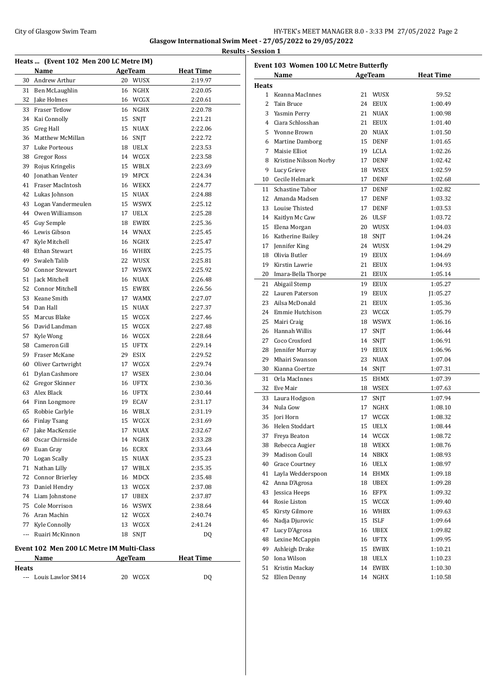|                                                      | Heats  (Event 102 Men 200 LC Metre IM) |    |                |                  |  |  |  |
|------------------------------------------------------|----------------------------------------|----|----------------|------------------|--|--|--|
|                                                      | Name                                   |    | <b>AgeTeam</b> | <b>Heat Time</b> |  |  |  |
| 30                                                   | Andrew Arthur                          |    | 20 WUSX        | 2:19.97          |  |  |  |
| 31                                                   | Ben McLaughlin                         | 16 | NGHX           | 2:20.05          |  |  |  |
| 32                                                   | Jake Holmes                            |    | 16 WCGX        | 2:20.61          |  |  |  |
| 33                                                   | Fraser Tetlow                          |    | 16 NGHX        | 2:20.78          |  |  |  |
|                                                      | 34 Kai Connolly                        | 15 | SNJT           | 2:21.21          |  |  |  |
| 35                                                   | Greg Hall                              |    | 15 NUAX        | 2:22.06          |  |  |  |
| 36                                                   | Matthew McMillan                       |    | 16 SNJT        | 2:22.72          |  |  |  |
|                                                      | 37 Luke Porteous                       |    | 18 UELX        | 2:23.53          |  |  |  |
|                                                      | 38 Gregor Ross                         |    | 14 WCGX        | 2:23.58          |  |  |  |
| 39                                                   | Rojus Kringelis                        |    | 15 WBLX        | 2:23.69          |  |  |  |
| 40                                                   | <b>Ionathan Venter</b>                 | 19 | MPCX           | 2:24.34          |  |  |  |
| 41                                                   | Fraser MacIntosh                       |    | 16 WEKX        | 2:24.77          |  |  |  |
|                                                      | 42 Lukas Johnson                       | 15 | <b>NUAX</b>    | 2:24.88          |  |  |  |
| 43                                                   | Logan Vandermeulen                     |    | 15 WSWX        | 2:25.12          |  |  |  |
|                                                      | 44 Owen Williamson                     |    | 17 UELX        | 2:25.28          |  |  |  |
| 45                                                   | Guy Semple                             |    | 18 EWBX        | 2:25.36          |  |  |  |
|                                                      | 46 Lewis Gibson                        |    | 14 WNAX        | 2:25.45          |  |  |  |
| 47                                                   | Kyle Mitchell                          |    | 16 NGHX        | 2:25.47          |  |  |  |
| 48                                                   | Ethan Stewart                          |    | 16 WHBX        | 2:25.75          |  |  |  |
| 49                                                   | Swaleh Talib                           |    | 22 WUSX        | 2:25.81          |  |  |  |
| 50                                                   | Connor Stewart                         |    | 17 WSWX        | 2:25.92          |  |  |  |
|                                                      | 51 Jack Mitchell                       |    | 16 NUAX        | 2:26.48          |  |  |  |
|                                                      | 52 Connor Mitchell                     |    | 15 EWBX        | 2:26.56          |  |  |  |
| 53                                                   | Keane Smith                            |    | 17 WAMX        | 2:27.07          |  |  |  |
| 54                                                   | Dan Hall                               | 15 | NUAX           | 2:27.37          |  |  |  |
| 55                                                   | Marcus Blake                           | 15 | WCGX           | 2:27.46          |  |  |  |
|                                                      | 56 David Landman                       |    | 15 WCGX        | 2:27.48          |  |  |  |
| 57                                                   | Kyle Wong                              |    | 16 WCGX        | 2:28.64          |  |  |  |
|                                                      | 58 Cameron Gill                        | 15 | <b>UFTX</b>    | 2:29.14          |  |  |  |
|                                                      | 59 Fraser McKane                       |    | 29 ESIX        |                  |  |  |  |
|                                                      |                                        |    |                | 2:29.52          |  |  |  |
| 60                                                   | Oliver Cartwright                      |    | 17 WCGX        | 2:29.74          |  |  |  |
| 61                                                   | Dylan Cashmore                         |    | 17 WSEX        | 2:30.04          |  |  |  |
| 62                                                   | Gregor Skinner                         |    | 16 UFTX        | 2:30.36          |  |  |  |
|                                                      | 63 Alex Black                          |    | 16 UFTX        | 2:30.44          |  |  |  |
|                                                      | 64 Finn Longmore                       |    | 19 ECAV        | 2:31.17          |  |  |  |
| 65                                                   | Robbie Carlyle                         | 16 | WBLX           | 2:31.19          |  |  |  |
| 66                                                   | Finlay Tsang                           | 15 | WCGX           | 2:31.69          |  |  |  |
| 67                                                   | Jake MacKenzie                         | 17 | NUAX           | 2:32.67          |  |  |  |
| 68                                                   | Oscar Chirnside                        | 14 | NGHX           | 2:33.28          |  |  |  |
|                                                      | 69 Euan Gray                           |    | 16 ECRX        | 2:33.64          |  |  |  |
|                                                      | 70 Logan Scally                        |    | 15 NUAX        | 2:35.23          |  |  |  |
| 71                                                   | Nathan Lilly                           |    | 17 WBLX        | 2:35.35          |  |  |  |
|                                                      | 72 Connor Brierley                     |    | 16 MDCX        | 2:35.48          |  |  |  |
|                                                      | 73 Daniel Hendry                       |    | 13 WCGX        | 2:37.08          |  |  |  |
|                                                      | 74 Liam Johnstone                      |    | 17 UBEX        | 2:37.87          |  |  |  |
|                                                      | 75 Cole Morrison                       |    | 16 WSWX        | 2:38.64          |  |  |  |
|                                                      | 76 Aran Machin                         |    | 12 WCGX        | 2:40.74          |  |  |  |
|                                                      | 77 Kyle Connolly                       |    | 13 WCGX        | 2:41.24          |  |  |  |
| $\sim$ $\sim$ $\sim$                                 | Ruairi McKinnon                        |    | 18 SNJT        | DQ               |  |  |  |
|                                                      |                                        |    |                |                  |  |  |  |
| Event 102 Men 200 LC Metre IM Multi-Class<br>AgeTeam |                                        |    |                |                  |  |  |  |
|                                                      | Name                                   |    |                | <b>Heat Time</b> |  |  |  |
| <b>Heats</b>                                         | --- Louis Lawlor SM14                  | 20 |                |                  |  |  |  |
|                                                      |                                        |    | WCGX           | DQ               |  |  |  |

| Event 103 Women 100 LC Metre Butterfly |                          |    |                |                  |  |  |  |
|----------------------------------------|--------------------------|----|----------------|------------------|--|--|--|
|                                        | Name                     |    | AgeTeam        | <b>Heat Time</b> |  |  |  |
| <b>Heats</b>                           |                          |    |                |                  |  |  |  |
|                                        | 1 Keanna MacInnes        |    | 21 WUSX        | 59.52            |  |  |  |
| 2                                      | Tain Bruce               | 24 | EEUX           | 1:00.49          |  |  |  |
|                                        | 3 Yasmin Perry           | 21 | <b>NUAX</b>    | 1:00.98          |  |  |  |
|                                        | 4 Ciara Schlosshan       |    | 21 EEUX        | 1:01.40          |  |  |  |
|                                        | 5 Yvonne Brown           |    | 20 NUAX        | 1:01.50          |  |  |  |
|                                        | 6 Martine Damborg        |    | 15 DENF        | 1:01.65          |  |  |  |
|                                        | 7 Maisie Elliot          |    | 19 LCLA        | 1:02.26          |  |  |  |
|                                        | 8 Kristine Nilsson Norby |    | 17 DENF        | 1:02.42          |  |  |  |
|                                        | 9 Lucy Grieve            |    | 18 WSEX        | 1:02.59          |  |  |  |
|                                        | 10 Cecile Helmark        |    | 17 DENF        | 1:02.68          |  |  |  |
|                                        | 11 Schastine Tabor       |    | 17 DENF        | 1:02.82          |  |  |  |
|                                        | 12 Amanda Madsen         | 17 | <b>DENF</b>    | 1:03.32          |  |  |  |
|                                        | 13 Louise Thisted        | 17 | <b>DENF</b>    | 1:03.53          |  |  |  |
|                                        | 14 Kaitlyn Mc Caw        |    | 26 ULSF        | 1:03.72          |  |  |  |
|                                        | 15 Elena Morgan          |    | 20 WUSX        | 1:04.03          |  |  |  |
|                                        | 16 Katherine Bailey      |    | 18 SNJT        | 1:04.24          |  |  |  |
|                                        | 17 Jennifer King         |    | 24 WUSX        | 1:04.29          |  |  |  |
|                                        | 18 Olivia Butler         |    | 19 EEUX        | 1:04.69          |  |  |  |
|                                        | 19 Kirstin Lawrie        | 21 | EEUX           | 1:04.93          |  |  |  |
|                                        | 20 Imara-Bella Thorpe    |    | 21 EEUX        | 1:05.14          |  |  |  |
| 21                                     | Abigail Stemp            |    | 19 EEUX        | 1:05.27          |  |  |  |
|                                        | 22 Lauren Paterson       |    | 19 EEUX        | 1:05.27          |  |  |  |
|                                        | 23 Ailsa McDonald        | 21 | EEUX           | 1:05.36          |  |  |  |
|                                        | 24 Emmie Hutchison       |    | 23 WCGX        | 1:05.79          |  |  |  |
|                                        | 25 Mairi Craig           |    | 18 WSWX        | 1:06.16          |  |  |  |
| 26                                     | Hannah Willis            | 17 | SNJT           | 1:06.44          |  |  |  |
| 27                                     | Coco Croxford            | 14 | SNJT           | 1:06.91          |  |  |  |
|                                        | 28 Jennifer Murray       |    | 19 EEUX        | 1:06.96          |  |  |  |
| 29                                     | Mhairi Swanson           | 23 | NUAX           | 1:07.04          |  |  |  |
|                                        | 30 Kianna Coertze        |    | 14 SNJT        | 1:07.31          |  |  |  |
| 31                                     | Orla MacInnes            | 15 | EHMX           | 1:07.39          |  |  |  |
|                                        | 32 Eve Mair              |    | 18 WSEX        | 1:07.63          |  |  |  |
|                                        | 33 Laura Hodgson         | 17 | SNJT           | 1:07.94          |  |  |  |
|                                        | 34 Nula Gow              | 17 | NGHX           | 1:08.10          |  |  |  |
| 35                                     | Jori Horn                | 17 | WCGX           | 1:08.32          |  |  |  |
|                                        | 36 Helen Stoddart        |    | 15 UELX        | 1:08.44          |  |  |  |
| 37                                     | Freya Beaton             |    | 14 WCGX        | 1:08.72          |  |  |  |
| 38                                     | Rebecca Augier           | 18 | WEKX           | 1:08.76          |  |  |  |
| 39                                     | Madison Coull            | 14 | NBKX           | 1:08.93          |  |  |  |
| 40                                     | <b>Grace Courtney</b>    | 16 | UELX           | 1:08.97          |  |  |  |
| 41                                     | Layla Wedderspoon        | 14 | EHMX           | 1:09.18          |  |  |  |
| 42                                     | Anna D'Agrosa            | 18 | UBEX           | 1:09.28          |  |  |  |
| 43                                     | Jessica Heeps            | 16 | EFPX           | 1:09.32          |  |  |  |
| 44                                     | Rosie Liston             | 15 | WCGX           | 1:09.40          |  |  |  |
| 45                                     | Kirsty Gilmore           | 16 | WHBX           | 1:09.63          |  |  |  |
| 46                                     | Nadja Djurovic           | 15 | <b>ISLF</b>    | 1:09.64          |  |  |  |
| 47                                     | Lucy D'Agrosa            | 16 | $_{\rm{UBEX}}$ | 1:09.82          |  |  |  |
| 48                                     | Lexine McCappin          | 16 | UFTX           | 1:09.95          |  |  |  |
| 49                                     | Ashleigh Drake           | 15 | EWBX           | 1:10.21          |  |  |  |
| 50                                     | Iona Wilson              | 18 | UELX           | 1:10.23          |  |  |  |
| 51                                     | Kristin Mackay           | 14 | EWBX           | 1:10.30          |  |  |  |
| 52                                     | Ellen Denny              | 14 | NGHX           | 1:10.58          |  |  |  |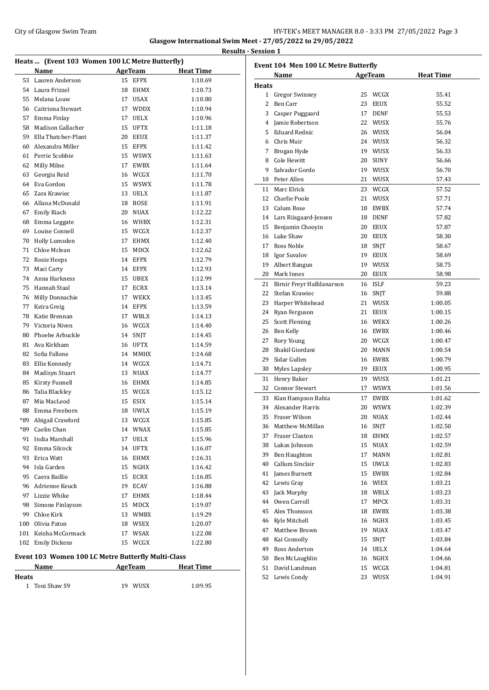#### City of Glasgow Swim Team Team Team Fermion City of Glasgow Swim Team Fermion City of Glasgow Swim Team Fermion City of Glasgow Swim Team Fermion City of Glasgow Swim Team Fermion City of Glasgow Swim Team Fermion City of **Glasgow International Swim Meet - 27/05/2022 to 29/05/2022 Results - Session 1**

| Heats  (Event 103 Women 100 LC Metre Butterfly) |                                                    |    |                |                  |  |  |  |
|-------------------------------------------------|----------------------------------------------------|----|----------------|------------------|--|--|--|
|                                                 | Name                                               |    | <b>AgeTeam</b> | <b>Heat Time</b> |  |  |  |
| 53                                              | Lauren Anderson                                    | 15 | <b>EFPX</b>    | 1:10.69          |  |  |  |
|                                                 | 54 Laura Frizzel                                   | 18 | <b>EHMX</b>    | 1:10.73          |  |  |  |
| 55                                              | Melana Louw                                        | 17 | <b>USAX</b>    | 1:10.80          |  |  |  |
|                                                 | 56 Caitriona Stewart                               | 17 | <b>WDDX</b>    | 1:10.94          |  |  |  |
|                                                 | 57 Emma Finlay                                     | 17 | <b>UELX</b>    | 1:10.96          |  |  |  |
| 58                                              | Madison Gallacher                                  | 15 | <b>UFTX</b>    | 1:11.18          |  |  |  |
| 59                                              | Ella Thatcher-Plant                                |    | 20 EEUX        | 1:11.37          |  |  |  |
| 60                                              | Alexandra Miller                                   |    | 15 EFPX        | 1:11.42          |  |  |  |
| 61                                              | Perrie Scobbie                                     |    | 15 WSWX        | 1:11.63          |  |  |  |
| 62                                              | Milly Milne                                        | 17 | <b>EWBX</b>    | 1:11.64          |  |  |  |
| 63                                              | Georgia Reid                                       |    | 16 WCGX        | 1:11.70          |  |  |  |
| 64                                              | Eva Gordon                                         |    | 15 WSWX        | 1:11.78          |  |  |  |
| 65                                              | Zara Krawiec                                       | 13 | <b>UELX</b>    | 1:11.87          |  |  |  |
| 66                                              | Allana McDonald                                    | 18 | <b>BOSE</b>    | 1:11.91          |  |  |  |
| 67                                              | <b>Emily Riach</b>                                 | 20 | <b>NUAX</b>    | 1:12.22          |  |  |  |
| 68                                              | Emma Leggate                                       |    | 16 WHBX        | 1:12.31          |  |  |  |
| 69                                              | Louise Connell                                     |    | 15 WCGX        | 1:12.37          |  |  |  |
| 70                                              | Holly Lumsden                                      | 17 | <b>EHMX</b>    | 1:12.40          |  |  |  |
| 71                                              | Chloe Mclean                                       | 15 | <b>MDCX</b>    | 1:12.62          |  |  |  |
| 72                                              | Rosie Heeps                                        | 14 | <b>EFPX</b>    | 1:12.79          |  |  |  |
| 73                                              | Maci Carty                                         | 14 | <b>EFPX</b>    | 1:12.93          |  |  |  |
| 74                                              | Anna Harkness                                      | 15 | <b>UBEX</b>    | 1:12.99          |  |  |  |
| 75                                              | Hannah Staal                                       | 17 | <b>ECRX</b>    | 1:13.14          |  |  |  |
| 76                                              | Milly Donnachie                                    | 17 | WEKX           | 1:13.45          |  |  |  |
| 77                                              | Keira Greig                                        | 14 | <b>EFPX</b>    | 1:13.59          |  |  |  |
| 78                                              | Katie Brennan                                      | 17 | WBLX           | 1:14.13          |  |  |  |
|                                                 | 79 Victoria Niven                                  |    | 16 WCGX        | 1:14.40          |  |  |  |
| 80                                              | Phoebe Arbuckle                                    | 14 | SNJT           | 1:14.45          |  |  |  |
| 81                                              | Ava Kirkham                                        | 16 | <b>UFTX</b>    | 1:14.59          |  |  |  |
| 82                                              | Sofia Fallone                                      | 14 | MMHX           | 1:14.68          |  |  |  |
| 83                                              | Ellie Kennedy                                      |    | 14 WCGX        | 1:14.71          |  |  |  |
| 84                                              | Madisyn Stuart                                     |    | 13 NUAX        | 1:14.77          |  |  |  |
| 85                                              | Kirsty Funnell                                     |    | 16 EHMX        | 1:14.85          |  |  |  |
| 86                                              | Talia Blackley                                     |    | 15 WCGX        | 1:15.12          |  |  |  |
| 87                                              | Mia MacLeod                                        |    | 15 ESIX        | 1:15.14          |  |  |  |
| 88                                              | Emma Freeborn                                      | 18 | <b>UWLX</b>    | 1:15.19          |  |  |  |
| *89                                             | Abigail Crawford                                   | 13 | WCGX           | 1:15.85          |  |  |  |
| *89                                             | Caelin Chan                                        | 14 | WNAX           | 1:15.85          |  |  |  |
| 91                                              | India Marshall                                     | 17 | <b>UELX</b>    | 1:15.96          |  |  |  |
| 92                                              | Emma Silcock                                       | 14 | UFTX           | 1:16.07          |  |  |  |
| 93                                              | Erica Watt                                         | 16 | EHMX           | 1:16.31          |  |  |  |
| 94                                              | Isla Garden                                        | 15 | NGHX           | 1:16.42          |  |  |  |
|                                                 | 95 Caera Baillie                                   | 15 | ECRX           | 1:16.85          |  |  |  |
|                                                 | 96 Adrienne Keuck                                  |    | 19 ECAV        | 1:16.88          |  |  |  |
|                                                 | 97 Lizzie Whike                                    | 17 | EHMX           | 1:18.44          |  |  |  |
| 98                                              | Simone Finlayson                                   | 15 | MDCX           | 1:19.07          |  |  |  |
| 99                                              | Chloe Kirk                                         |    | 13 WMBX        | 1:19.29          |  |  |  |
| 100                                             | Olivia Paton                                       |    | 18 WSEX        | 1:20.07          |  |  |  |
| 101                                             | Keisha McCormack                                   |    | 17 WSAX        | 1:22.08          |  |  |  |
| 102                                             | <b>Emily Dickens</b>                               | 15 | WCGX           | 1:22.80          |  |  |  |
|                                                 | Event 103 Women 100 LC Metre Butterfly Multi-Class |    |                |                  |  |  |  |

| <b>Name</b>    | AgeTeam    | <b>Heat Time</b> |  |
|----------------|------------|------------------|--|
| Heats          |            |                  |  |
| 1 Toni Shaw S9 | WUSX<br>19 | 1:09.95          |  |

| Event 104 Men 100 LC Metre Butterfly |                              |    |             |                  |  |  |
|--------------------------------------|------------------------------|----|-------------|------------------|--|--|
|                                      | Name                         |    | AgeTeam     | <b>Heat Time</b> |  |  |
| <b>Heats</b>                         |                              |    |             |                  |  |  |
|                                      | 1 Gregor Swinney             |    | 25 WCGX     | 55.41            |  |  |
| 2                                    | Ben Carr                     | 23 | EEUX        | 55.52            |  |  |
|                                      | 3 Casper Puggaard            |    | 17 DENF     | 55.53            |  |  |
|                                      | 4 Jamie Robertson            |    | 22 WUSX     | 55.76            |  |  |
|                                      | 5 Eduard Rednic              |    | 26 WUSX     | 56.04            |  |  |
|                                      | 6 Chris Muir                 |    | 24 WUSX     | 56.32            |  |  |
|                                      | 7 Brogan Hyde                |    | 19 WUSX     | 56.33            |  |  |
|                                      | 8 Cole Hewitt                |    | 20 SUNY     | 56.66            |  |  |
|                                      | 9 Salvador Gordo             |    | 19 WUSX     | 56.70            |  |  |
|                                      | 10 Peter Allen               |    | 21 WUSX     | 57.43            |  |  |
|                                      | 11 Marc Elrick               |    | 23 WCGX     | 57.52            |  |  |
|                                      | 12 Charlie Poole             | 21 | WUSX        | 57.71            |  |  |
|                                      | 13 Calum Rose                |    | 18 EWBX     | 57.74            |  |  |
|                                      | 14 Lars Riisgaard-Jensen     |    | 18 DENF     | 57.82            |  |  |
|                                      | 15 Benjamin Chooyin          |    | 20 EEUX     | 57.87            |  |  |
|                                      | 16 Luke Shaw                 |    | 20 EEUX     | 58.30            |  |  |
|                                      | 17 Ross Noble                |    | 18 SNJT     | 58.67            |  |  |
|                                      | 18 Igor Suvalov              |    | 19 EEUX     | 58.69            |  |  |
|                                      | 19 Albert Bangun             |    | 19 WUSX     | 58.75            |  |  |
|                                      | 20 Mark Innes                |    | 20 EEUX     | 58.98            |  |  |
|                                      | 21 Birnir Freyr Halfdanarson |    | 16 ISLF     | 59.23            |  |  |
| 22                                   | Stefan Krawiec               |    | 16 SNJT     | 59.88            |  |  |
| 23                                   | Harper Whitehead             |    | 21 WUSX     | 1:00.05          |  |  |
|                                      |                              |    | 21 EEUX     | 1:00.15          |  |  |
|                                      | 24 Ryan Ferguson             |    | 16 WEKX     | 1:00.26          |  |  |
| 25                                   | <b>Scott Fleming</b>         |    |             |                  |  |  |
|                                      | 26 Ben Kelly                 |    | 16 EWBX     | 1:00.46          |  |  |
| 27                                   | Rory Young                   |    | 20 WCGX     | 1:00.47          |  |  |
| 28                                   | Shakil Giordani              |    | 20 MANN     | 1:00.54          |  |  |
| 29                                   | Sidar Gullen                 |    | 16 EWBX     | 1:00.79          |  |  |
|                                      | 30 Myles Lapsley             |    | 19 EEUX     | 1:00.95          |  |  |
|                                      | 31 Henry Baker               |    | 19 WUSX     | 1:01.21          |  |  |
|                                      | 32 Connor Stewart            |    | 17 WSWX     | 1:01.56          |  |  |
|                                      | 33 Kian Hampson Bahia        |    | 17 EWBX     | 1:01.62          |  |  |
|                                      | 34 Alexander Harris          |    | 20 WSWX     | 1:02.39          |  |  |
|                                      | 35 Fraser Wilson             |    | 20 NUAX     | 1:02.44          |  |  |
|                                      | 36 Matthew McMillan          |    | 16 SNJT     | 1:02.50          |  |  |
| 37                                   | Fraser Claxton               | 18 | EHMX        | 1:02.57          |  |  |
|                                      | 38 Lukas Johnson             | 15 | NUAX        | 1:02.59          |  |  |
|                                      | 39 Ben Haughton              | 17 | MANN        | 1:02.81          |  |  |
| 40                                   | Callum Sinclair              | 15 | <b>UWLX</b> | 1:02.83          |  |  |
| 41                                   | James Burnett                | 15 | EWBX        | 1:02.84          |  |  |
| 42                                   | Lewis Gray                   | 16 | WIEX        | 1:03.21          |  |  |
| 43                                   | Jack Murphy                  |    | 18 WBLX     | 1:03.23          |  |  |
| 44                                   | Owen Carroll                 | 17 | MPCX        | 1:03.31          |  |  |
| 45                                   | Alex Thomson                 | 18 | EWBX        | 1:03.38          |  |  |
| 46                                   | Kyle Mitchell                | 16 | NGHX        | 1:03.45          |  |  |
| 47                                   | Matthew Brown                | 19 | NUAX        | 1:03.47          |  |  |
| 48                                   | Kai Connolly                 | 15 | SNJT        | 1:03.84          |  |  |
| 49                                   | Ross Anderton                | 14 | UELX        | 1:04.64          |  |  |
| 50                                   | Ben McLaughlin               | 16 | NGHX        | 1:04.66          |  |  |
| 51                                   | David Landman                | 15 | WCGX        | 1:04.81          |  |  |
| 52                                   | Lewis Condy                  | 23 | WUSX        | 1:04.91          |  |  |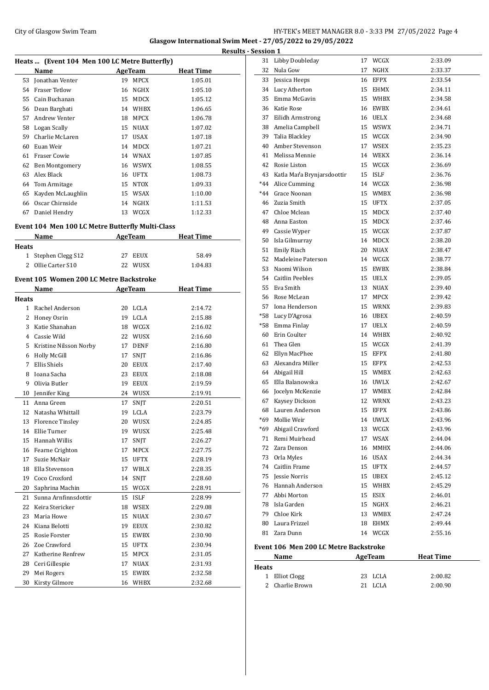### City of Glasgow Swim Team HY-TEK's MEET MANAGER 8.0 - 3:33 PM 27/05/2022 Page 4 **Glasgow International Swim Meet - 27/05/2022 to 29/05/2022**

|       | Heats  (Event 104 Men 100 LC Metre Butterfly)    |    |                |                  | ncoun |
|-------|--------------------------------------------------|----|----------------|------------------|-------|
|       | Name                                             |    | AgeTeam        | <b>Heat Time</b> |       |
| 53    | Jonathan Venter                                  |    | 19 MPCX        | 1:05.01          |       |
|       | 54 Fraser Tetlow                                 |    | 16 NGHX        | 1:05.10          |       |
| 55    | Cain Buchanan                                    |    | 15 MDCX        | 1:05.12          |       |
| 56    | Dean Barghati                                    |    | 14 WHBX        | 1:06.65          |       |
| 57    | Andrew Venter                                    |    | 18 MPCX        | 1:06.78          |       |
|       | 58 Logan Scally                                  |    | 15 NUAX        | 1:07.02          |       |
| 59    | Charlie McLaren                                  |    | 17 USAX        | 1:07.18          |       |
| 60    | Euan Weir                                        |    | 14 MDCX        | 1:07.21          |       |
| 61    | Fraser Cowie                                     |    | 14 WNAX        | 1:07.85          |       |
|       | 62 Ben Montgomery                                |    | 16 WSWX        | 1:08.55          |       |
|       | 63 Alex Black                                    |    | 16 UFTX        | 1:08.73          |       |
|       | 64 Tom Armitage                                  |    | 15 NTOX        | 1:09.33          |       |
| 65    | Kayden McLaughlin                                |    | 15 WSAX        | 1:10.00          |       |
|       | 66 Oscar Chirnside                               |    | 14 NGHX        | 1:11.53          |       |
|       | 67 Daniel Hendry                                 |    | 13 WCGX        | 1:12.33          |       |
|       |                                                  |    |                |                  |       |
|       | Event 104 Men 100 LC Metre Butterfly Multi-Class |    |                |                  |       |
|       | Name                                             |    | <b>AgeTeam</b> | <b>Heat Time</b> |       |
| Heats |                                                  |    |                |                  |       |
| 1     | Stephen Clegg S12                                |    | 27 EEUX        | 58.49            |       |
|       | 2 Ollie Carter S10                               |    | 22 WUSX        | 1:04.83          |       |
|       | Event 105 Women 200 LC Metre Backstroke          |    |                |                  |       |
|       | Name                                             |    | <b>AgeTeam</b> | <b>Heat Time</b> |       |
| Heats |                                                  |    |                |                  |       |
|       | 1 Rachel Anderson                                |    | 20 LCLA        | 2:14.72          |       |
|       | 2 Honey Osrin                                    |    | 19 LCLA        | 2:15.88          |       |
| 3     | Katie Shanahan                                   |    | 18 WCGX        | 2:16.02          |       |
|       | 4 Cassie Wild                                    |    | 22 WUSX        | 2:16.60          |       |
| 5     | Kristine Nilsson Norby                           |    | 17 DENF        | 2:16.80          |       |
| 6     | <b>Holly McGill</b>                              | 17 | SNJT           | 2:16.86          |       |
| 7     | Ellis Shiels                                     |    | 20 EEUX        | 2:17.40          |       |
| 8     | Ioana Sacha                                      |    | 23 EEUX        | 2:18.08          |       |
| 9     | Olivia Butler                                    |    | 19 EEUX        | 2:19.59          |       |
| 10    | Jennifer King                                    |    | 24 WUSX        | 2:19.91          |       |
| 11    | Anna Green                                       | 17 | SNJT           | 2:20.51          |       |
| 12    | Natasha Whittall                                 |    | 19 LCLA        | 2:23.79          |       |
|       | 13 Florence Tinsley                              |    | 20 WUSX        | 2:24.85          |       |
|       | 14 Ellie Turner                                  |    | 19 WUSX        | 2:25.48          |       |
| 15    | Hannah Willis                                    | 17 | SNJT           | 2:26.27          |       |
| 16    | Fearne Crighton                                  | 17 | MPCX           | 2:27.75          |       |
| 17    | Suzie McNair                                     | 15 | UFTX           | 2:28.19          |       |
| 18    | Ella Stevenson                                   |    | 17 WBLX        | 2:28.35          |       |
| 19    | Coco Croxford                                    | 14 | <b>SNJT</b>    | 2:28.60          |       |
| 20    | Saphrina Machin                                  | 15 | WCGX           | 2:28.91          |       |
| 21    | Sunna Arnfinnsdottir                             | 15 | ISLF           | 2:28.99          |       |
| 22    | Keira Stericker                                  | 18 | <b>WSEX</b>    | 2:29.08          |       |
| 23    | Maria Howe                                       | 15 | NUAX           | 2:30.67          |       |
| 24    | Kiana Belotti                                    | 19 | EEUX           | 2:30.82          |       |
| 25    | Rosie Forster                                    | 15 | EWBX           | 2:30.90          |       |
| 26    | Zoe Crawford                                     | 15 | <b>UFTX</b>    | 2:30.94          |       |
| 27    | Katherine Renfrew                                | 15 | MPCX           | 2:31.05          |       |
| 28    | Ceri Gillespie                                   | 17 | NUAX           | 2:31.93          |       |
| 29    | Mei Rogers                                       | 15 |                | 2:32.58          |       |
| 30    | Kirsty Gilmore                                   | 16 | EWBX<br>WHBX   | 2:32.68          |       |
|       |                                                  |    |                |                  |       |

| <b>Results - Session 1</b> |                                       |    |             |                  |
|----------------------------|---------------------------------------|----|-------------|------------------|
|                            | 31 Libby Doubleday                    |    | 17 WCGX     | 2:33.09          |
| 32                         | Nula Gow                              | 17 | NGHX        | 2:33.37          |
| 33                         | Jessica Heeps                         |    | 16 EFPX     | 2:33.54          |
|                            | 34 Lucy Atherton                      |    | 15 EHMX     | 2:34.11          |
|                            | 35 Emma McGavin                       |    | 15 WHBX     | 2:34.58          |
|                            | 36 Katie Rose                         |    | 16 EWBX     | 2:34.61          |
|                            | 37 Eilidh Armstrong                   |    | 16 UELX     | 2:34.68          |
|                            | 38 Amelia Campbell                    |    | 15 WSWX     | 2:34.71          |
|                            | 39 Talia Blackley                     |    | 15 WCGX     | 2:34.90          |
|                            | 40 Amber Stevenson                    |    | 17 WSEX     | 2:35.23          |
|                            | 41 Melissa Mennie                     |    | 14 WEKX     | 2:36.14          |
|                            | 42 Rosie Liston                       |    | 15 WCGX     | 2:36.69          |
|                            | 43 Katla Maŕa Brynjarsdoottir         |    | 15 ISLF     | 2:36.76          |
|                            | *44 Alice Cumming                     |    | 14 WCGX     | 2:36.98          |
|                            | *44 Grace Noonan                      |    | 15 WMBX     | 2:36.98          |
|                            | 46 Zuzia Smith                        |    | 15 UFTX     | 2:37.05          |
|                            | 47 Chloe Mclean                       |    | 15 MDCX     | 2:37.40          |
|                            | 48 Anna Easton                        |    | 15 MDCX     | 2:37.46          |
|                            | 49 Cassie Wyper                       |    | 15 WCGX     | 2:37.87          |
|                            | 50 Isla Gilmurray                     |    | 14 MDCX     | 2:38.20          |
|                            | 51 Emily Riach                        |    | 20 NUAX     | 2:38.47          |
|                            | 52 Madeleine Paterson                 |    | 14 WCGX     | 2:38.77          |
|                            | 53 Naomi Wilson                       |    | 15 EWBX     | 2:38.84          |
|                            | 54 Caitlin Peebles                    |    | 15 UELX     | 2:39.05          |
|                            | 55 Eva Smith                          |    | 13 NUAX     | 2:39.40          |
|                            | 56 Rose McLean                        |    | 17 MPCX     | 2:39.42          |
|                            | 57 Iona Henderson                     |    | 15 WRNX     | 2:39.83          |
|                            | *58 Lucy D'Agrosa                     |    | 16 UBEX     | 2:40.59          |
|                            | *58 Emma Finlay                       |    | 17 UELX     | 2:40.59          |
|                            | 60 Erin Coulter                       |    | 14 WHBX     | 2:40.92          |
|                            | 61 Thea Glen                          |    | 15 WCGX     | 2:41.39          |
|                            | 62 Ellyn MacPhee                      |    | 15 EFPX     | 2:41.80          |
|                            | 63 Alexandra Miller                   |    | 15 EFPX     | 2:42.53          |
|                            | 64 Abigail Hill                       |    | 15 WMBX     | 2:42.63          |
|                            | 65 Ella Balanowska                    |    | 16 UWLX     | 2:42.67          |
| 66                         | Jocelyn McKenzie                      |    | 17 WMBX     | 2:42.84          |
| 67                         | Kaysey Dickson                        |    | 12 WRNX     | 2:43.23          |
| 68                         | Lauren Anderson                       | 15 | <b>EFPX</b> | 2:43.86          |
|                            | *69 Mollie Weir                       |    | 14 UWLX     | 2:43.96          |
|                            | *69 Abigail Crawford                  |    | 13 WCGX     | 2:43.96          |
|                            | 71 Remi Muirhead                      |    | 17 WSAX     | 2:44.04          |
|                            | 72 Zara Denson                        |    | 16 MMHX     | 2:44.06          |
|                            | 73 Orla Myles                         |    | 16 USAX     | 2:44.34          |
|                            | 74 Caitlin Frame                      |    | 15 UFTX     | 2:44.57          |
|                            | 75 Jessie Norris                      |    | 15 UBEX     | 2:45.12          |
|                            | 76 Hannah Anderson                    |    | 15 WHBX     | 2:45.29          |
|                            | 77 Abbi Morton                        |    | 15 ESIX     | 2:46.01          |
|                            | 78 Isla Garden                        |    | 15 NGHX     | 2:46.21          |
|                            | 79 Chloe Kirk                         |    | 13 WMBX     | 2:47.24          |
|                            | 80 Laura Frizzel                      |    | 18 EHMX     | 2:49.44          |
|                            | 81 Zara Dunn                          |    | 14 WCGX     | 2:55.16          |
|                            | Event 106 Men 200 LC Metre Backstroke |    |             |                  |
|                            | Name                                  |    | AgeTeam     | <b>Heat Time</b> |
| <b>Heats</b>               |                                       |    |             |                  |
|                            | 1 Elliot Clogg                        |    | 23 LCLA     | 2:00.82          |
| $\mathbf{2}$               | Charlie Brown                         |    | 21 LCLA     | 2:00.90          |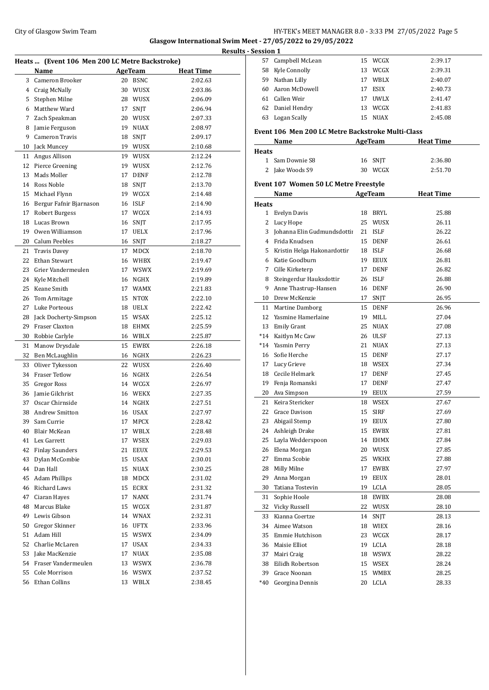### City of Glasgow Swim Team Team Team Fermi Manager 2012 12:33 PM 27/05/2022 Page 5 **Glasgow International Swim Meet - 27/05/2022 to 29/05/2022**

 Campbell McLean 15 WCGX 2:39.17 Kyle Connolly 13 WCGX 2:39.31

|    |                                                |    |                 |                  | <b>Results - Session 1</b> |      |
|----|------------------------------------------------|----|-----------------|------------------|----------------------------|------|
|    | Heats  (Event 106 Men 200 LC Metre Backstroke) |    |                 |                  | 57                         | Can  |
|    | Name                                           |    | <b>AgeTeam</b>  | <b>Heat Time</b> | 58                         | Kyl  |
| 3  | Cameron Brooker                                | 20 | BSNC            | 2:02.63          | 59                         | Nat  |
|    | 4 Craig McNally                                | 30 | WUSX            | 2:03.86          | 60                         | Aar  |
|    | 5 Stephen Milne                                |    | 28 WUSX         | 2:06.09          | 61                         | Call |
|    | 6 Matthew Ward                                 | 17 | SNJT            | 2:06.94          | 62                         | Dar  |
|    | 7 Zach Speakman                                | 20 | WUSX            | 2:07.33          | 63                         | Log  |
| 8  | Jamie Ferguson                                 | 19 | <b>NUAX</b>     | 2:08.97          | Event 10                   |      |
| 9  | <b>Cameron Travis</b>                          | 18 | SNJT            | 2:09.17          |                            | Nai  |
| 10 | Jack Muncey                                    |    | 19 WUSX         | 2:10.68          | <b>Heats</b>               |      |
| 11 | Angus Allison                                  |    | 19 WUSX         | 2:12.24          | $\mathbf{1}$               | San  |
|    | 12 Pierce Greening                             | 19 | WUSX            | 2:12.76          | 2                          | Jak  |
| 13 | Mads Moller                                    | 17 | <b>DENF</b>     | 2:12.78          |                            |      |
| 14 | Ross Noble                                     | 18 | SNJT            | 2:13.70          | Event 10'                  |      |
| 15 | Michael Flynn                                  | 19 | WCGX            | 2:14.48          |                            | Nai  |
|    | 16 Bergur Fafnir Bjarnason                     | 16 | ISLF            | 2:14.90          | <b>Heats</b>               |      |
| 17 | Robert Burgess                                 |    | 17 WCGX         | 2:14.93          | $\mathbf{1}$               | Eve  |
| 18 | Lucas Brown                                    | 16 | SNJT            | 2:17.95          | 2                          | Luc  |
| 19 | Owen Williamson                                | 17 | UELX            | 2:17.96          | 3                          | Joh  |
| 20 | Calum Peebles                                  | 16 | SNJT            | 2:18.27          | 4                          | Frio |
| 21 | <b>Travis Davey</b>                            | 17 | MDCX            | 2:18.70          | 5                          | Kris |
| 22 | <b>Ethan Stewart</b>                           | 16 | WHBX            | 2:19.47          | 6                          | Kat  |
| 23 | Grier Vandermeulen                             | 17 | <b>WSWX</b>     | 2:19.69          | 7                          | Cill |
| 24 | Kyle Mitchell                                  | 16 | NGHX            | 2:19.89          | 8                          | Stei |
| 25 | Keane Smith                                    | 17 | <b>WAMX</b>     | 2:21.83          | 9                          | Anr  |
| 26 | Tom Armitage                                   | 15 | <b>NTOX</b>     | 2:22.10          | 10                         | Dre  |
| 27 | Luke Porteous                                  | 18 | UELX            | 2:22.42          | 11                         | Mai  |
| 28 | Jack Docherty-Simpson                          |    | 15 WSAX         | 2:25.12          | 12                         | Yas  |
| 29 | Fraser Claxton                                 | 18 | EHMX            | 2:25.59          | 13                         | Em   |
| 30 | Robbie Carlyle                                 |    | 16 WBLX         | 2:25.87          | $*14$                      | Kai  |
| 31 | Manow Drysdale                                 | 15 | EWBX            | 2:26.18          | $*14$                      | Yas  |
|    | 32 Ben McLaughlin                              | 16 | NGHX            | 2:26.23          | 16                         | Sofi |
| 33 | Oliver Tykesson                                |    | 22 WUSX         | 2:26.40          | 17                         | Luc  |
|    | 34 Fraser Tetlow                               |    | 16 NGHX         | 2:26.54          | 18                         | Cec  |
| 35 | Gregor Ross                                    |    | 14 WCGX         | 2:26.97          | 19                         | Fen  |
| 36 | Jamie Gilchrist                                |    | 16 WEKX         | 2:27.35          | 20                         | Ava  |
| 37 | Oscar Chirnside                                | 14 | NGHX            | 2:27.51          | 21                         | Kei  |
|    | 38 Andrew Smitton                              |    | 16 USAX         | 2:27.97          | 22 Gra                     |      |
| 39 | Sam Currie                                     | 17 | MPCX            | 2:28.42          | 23                         | Abi  |
| 40 | Blair McKean                                   | 17 | WBLX            | 2:28.48          | 24                         | Ash  |
|    | 41 Lex Garrett                                 | 17 | WSEX            | 2:29.03          | 25                         | Lay  |
|    | 42 Finlay Saunders                             | 21 | <b>EEUX</b>     | 2:29.53          | 26                         | Eler |
| 43 | Dylan McCombie                                 | 15 | <b>USAX</b>     | 2:30.01          | 27                         | Em   |
|    | 44 Dan Hall                                    | 15 | <b>NUAX</b>     | 2:30.25          | 28                         | Mill |
|    | 45 Adam Phillips                               | 18 | MDCX            | 2:31.02          | 29                         | Anr  |
|    | 46 Richard Laws                                | 15 | ECRX            | 2:31.32          | 30                         | Tati |
| 47 | Ciaran Hayes                                   | 17 | $\texttt{NANX}$ | 2:31.74          | 31                         | Sop  |
| 48 | Marcus Blake                                   |    | 15 WCGX         | 2:31.87          | 32                         | Vicl |
|    | 49 Lewis Gibson                                |    | 14 WNAX         | 2:32.31          | 33                         | Kia  |
| 50 | Gregor Skinner                                 |    | 16 UFTX         | 2:33.96          | 34                         | Ain  |
| 51 | Adam Hill                                      | 15 | WSWX            | 2:34.09          | 35                         | Em   |
| 52 | Charlie McLaren                                | 17 | <b>USAX</b>     | 2:34.33          | 36                         | Mai  |
| 53 | Jake MacKenzie                                 | 17 | <b>NUAX</b>     | 2:35.08          | 37                         | Mai  |
|    | 54 Fraser Vandermeulen                         |    | 13 WSWX         | 2:36.78          | 38                         | Eili |
| 55 | Cole Morrison                                  | 16 | WSWX            | 2:37.52          | 39                         | Gra  |
| 56 | Ethan Collins                                  |    | 13 WBLX         | 2:38.45          | *40                        | Gec  |
|    |                                                |    |                 |                  |                            |      |

|              | 59 Nathan Lilly                                   |    | 17 WBLX     | 2:40.07          |
|--------------|---------------------------------------------------|----|-------------|------------------|
|              | 60 Aaron McDowell                                 |    | 17 ESIX     | 2:40.73          |
|              | 61 Callen Weir                                    | 17 | <b>UWLX</b> | 2:41.47          |
|              | 62 Daniel Hendry                                  |    | 13 WCGX     | 2:41.83          |
|              | 63 Logan Scally                                   |    | 15 NUAX     | 2:45.08          |
|              |                                                   |    |             |                  |
|              | Event 106 Men 200 LC Metre Backstroke Multi-Class |    |             |                  |
|              | Name                                              |    | AgeTeam     | <b>Heat Time</b> |
| <b>Heats</b> |                                                   |    |             |                  |
|              | 1 Sam Downie S8                                   |    | 16 SNJT     | 2:36.80          |
|              | 2 Jake Woods S9                                   |    | 30 WCGX     | 2:51.70          |
|              | Event 107 Women 50 LC Metre Freestyle             |    |             |                  |
|              | Name                                              |    | AgeTeam     | <b>Heat Time</b> |
| <b>Heats</b> |                                                   |    |             |                  |
|              | 1 Evelyn Davis                                    |    | 18 BRYL     | 25.88            |
|              | 2 Lucy Hope                                       |    | 25 WUSX     | 26.11            |
|              | 3 Johanna Elin Gudmundsdottii                     |    | 21 ISLF     | 26.22            |
|              | 4 Frida Knudsen                                   |    | 15 DENF     | 26.61            |
|              | 5 Kristin Helga Hakonardottir                     |    | 18 ISLF     | 26.68            |
|              | 6 Katie Goodburn                                  |    | 19 EEUX     | 26.81            |
| 7            | Cille Kirketerp                                   |    | 17 DENF     | 26.82            |
|              | 8 Steingerdur Hauksdottir                         |    | 26 ISLF     | 26.88            |
|              | 9 Anne Thastrup-Hansen                            |    | 16 DENF     | 26.90            |
|              | 10 Drew McKenzie                                  | 17 | SNJT        | 26.95            |
|              | 11 Martine Damborg                                |    | 15 DENF     | 26.96            |
|              | 12 Yasmine Hamerlaine                             |    | 19 MILL     | 27.04            |
|              | 13 Emily Grant                                    |    | 25 NUAX     | 27.08            |
|              | *14 Kaitlyn Mc Caw                                |    | 26 ULSF     | 27.13            |
|              | *14 Yasmin Perry                                  |    | 21 NUAX     | 27.13            |
|              | 16 Sofie Herche                                   |    | 15 DENF     | 27.17            |
|              | 17 Lucy Grieve                                    |    | 18 WSEX     | 27.34            |
|              | 18 Cecile Helmark                                 |    | 17 DENF     | 27.45            |
|              | 19 Fenja Romanski                                 |    | 17 DENF     | 27.47            |
|              | 20 Ava Simpson                                    |    | 19 EEUX     | 27.59            |
|              | 21 Keira Stericker                                |    | 18 WSEX     | 27.67            |
|              | 22 Grace Davison                                  |    | 15 SIRF     | 27.69            |
|              | 23 Abigail Stemp                                  |    | 19 EEUX     | 27.80            |
|              | 24 Ashleigh Drake                                 |    | 15 EWBX     | 27.81            |
| 25           | Layla Wedderspoon                                 |    | 14 EHMX     | 27.84            |
| 26           | Elena Morgan                                      | 20 | WUSX        | 27.85            |
| 27           | Emma Scobie                                       | 25 | WKHX        | 27.88            |
| 28           | Milly Milne                                       | 17 | EWBX        | 27.97            |
| 29           | Anna Morgan                                       | 19 | EEUX        | 28.01            |
| 30           | Tatiana Tostevin                                  | 19 | LCLA        | 28.05            |
| 31           | Sophie Hoole                                      | 18 | EWBX        | 28.08            |
| 32           | Vicky Russell                                     |    | 22 WUSX     | 28.10            |
| 33           | Kianna Coertze                                    | 14 | <b>SNIT</b> | 28.13            |
| 34           | Aimee Watson                                      | 18 | WIEX        | 28.16            |
| 35           | Emmie Hutchison                                   | 23 | WCGX        | 28.17            |
| 36           | Maisie Elliot                                     | 19 | LCLA        | 28.18            |
| 37           | Mairi Craig                                       | 18 | WSWX        | 28.22            |
| 38           | Eilidh Robertson                                  |    | 15 WSEX     | 28.24            |
| 39           | Grace Noonan                                      | 15 | WMBX        | 28.25            |
| *40          | Georgina Dennis                                   | 20 | LCLA        | 28.33            |
|              |                                                   |    |             |                  |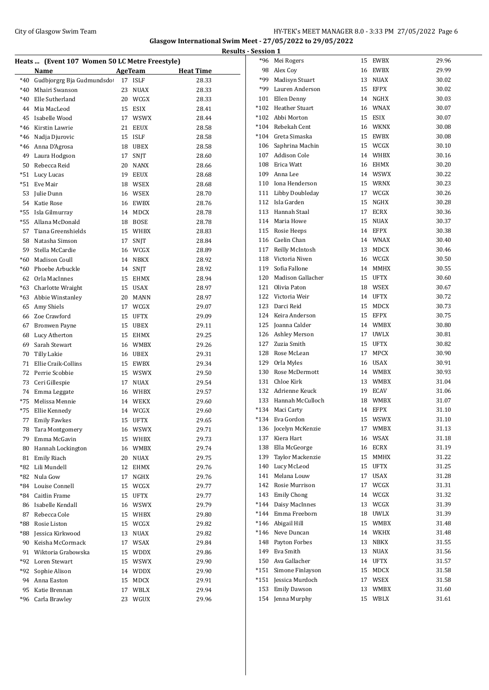#### City of Glasgow Swim Team Team Team Fermi Management City of Glasgow Swim Team Fermi Management City of Glasgow Swim Team Fermi Management City of Glasgow Swim Team Fermi Management City of Glasgow Swim Team Fermi Manageme **Glasgow International Swim Meet - 27/05/2022 to 29/05/2022 Results - Session 1**

|       |                                                |    |             | <u>kes</u>       |
|-------|------------------------------------------------|----|-------------|------------------|
|       | Heats  (Event 107 Women 50 LC Metre Freestyle) |    |             |                  |
|       | Name                                           |    | AgeTeam     | <b>Heat Time</b> |
| $*40$ | Gudbjorgrg Bja Gudmundsdo                      | 17 | <b>ISLF</b> | 28.33            |
| $*40$ | Mhairi Swanson                                 | 23 | <b>NUAX</b> | 28.33            |
| $*40$ | Elle Sutherland                                | 20 | WCGX        | 28.33            |
| 44    | Mia MacLeod                                    | 15 | <b>ESIX</b> | 28.41            |
| 45    | Isabelle Wood                                  | 17 | <b>WSWX</b> | 28.44            |
| $*46$ | Kirstin Lawrie                                 | 21 | <b>EEUX</b> | 28.58            |
| *46   | Nadja Djurovic                                 | 15 | <b>ISLF</b> | 28.58            |
| *46   | Anna D'Agrosa                                  | 18 | <b>UBEX</b> | 28.58            |
| 49    | Laura Hodgson                                  | 17 | <b>SNIT</b> | 28.60            |
| 50    | Rebecca Reid                                   | 20 | <b>NANX</b> | 28.66            |
| $*51$ | Lucy Lucas                                     | 19 | <b>EEUX</b> | 28.68            |
| *51   | Eve Mair                                       | 18 | WSEX        | 28.68            |
| 53    | Julie Dunn                                     | 16 | WSEX        | 28.70            |
| 54    | Katie Rose                                     |    | 16 EWBX     | 28.76            |
| *55   | Isla Gilmurray                                 | 14 | MDCX        | 28.78            |
| *55   | Allana McDonald                                | 18 | <b>BOSE</b> | 28.78            |
| 57    | Tiana Greenshields                             | 15 | <b>WHBX</b> | 28.83            |
| 58    | Natasha Simson                                 | 17 | SNJT        | 28.84            |
| 59    | Stella McCardie                                | 16 | WCGX        | 28.89            |
| *60   | Madison Coull                                  | 14 | <b>NBKX</b> | 28.92            |
| $*60$ | Phoebe Arbuckle                                | 14 | SNJT        | 28.92            |
| 62    | Orla MacInnes                                  | 15 | EHMX        | 28.94            |
| $*63$ | Charlotte Wraight                              | 15 | <b>USAX</b> | 28.97            |
| $*63$ | Abbie Winstanley                               | 20 | MANN        | 28.97            |
| 65    | Amy Shiels                                     | 17 | WCGX        | 29.07            |
| 66    | Zoe Crawford                                   | 15 | UFTX        | 29.09            |
| 67    | Bronwen Payne                                  | 15 | <b>UBEX</b> | 29.11            |
| 68    | Lucy Atherton                                  | 15 | EHMX        | 29.25            |
| 69    | Sarah Stewart                                  | 16 | <b>WMBX</b> | 29.26            |
| 70    | <b>Tilly Lakie</b>                             | 16 | <b>UBEX</b> | 29.31            |
| 71    | Ellie Craik-Collins                            | 15 | <b>EWBX</b> | 29.34            |
| 72    | Perrie Scobbie                                 | 15 | <b>WSWX</b> | 29.50            |
| 73    | Ceri Gillespie                                 | 17 | <b>NUAX</b> | 29.54            |
| 74    | Emma Leggate                                   | 16 | WHBX        | 29.57            |
| $*75$ | Melissa Mennie                                 | 14 | <b>WEKX</b> | 29.60            |
| *75   | Ellie Kennedy                                  |    | 14 WCGX     | 29.60            |
|       | 77 Emily Fawkes                                |    | 15 UFTX     | 29.65            |
|       | 78 Tara Montgomery                             |    | 16 WSWX     | 29.71            |
| 79    | Emma McGavin                                   |    | 15 WHBX     | 29.73            |
| 80    | Hannah Lockington                              |    | 16 WMBX     | 29.74            |
| 81    | Emily Riach                                    | 20 | <b>NUAX</b> | 29.75            |
| *82   | Lili Mundell                                   | 12 | EHMX        | 29.76            |
| *82   | Nula Gow                                       | 17 | NGHX        | 29.76            |
| $*84$ | Louise Connell                                 | 15 | WCGX        | 29.77            |
| *84   | Caitlin Frame                                  | 15 | <b>UFTX</b> | 29.77            |
| 86    | Isabelle Kendall                               | 16 | <b>WSWX</b> | 29.79            |
| 87    | Rebecca Cole                                   | 15 | WHBX        | 29.80            |
| *88   | Rosie Liston                                   | 15 | WCGX        | 29.82            |
| *88   | Jessica Kirkwood                               | 13 | NUAX        | 29.82            |
| 90    | Keisha McCormack                               | 17 | WSAX        | 29.84            |
| 91    | Wiktoria Grabowska                             | 15 | WDDX        | 29.86            |
| *92   | Loren Stewart                                  |    |             |                  |
|       |                                                | 15 | <b>WSWX</b> | 29.90            |
| *92   | Sophie Alison                                  | 14 | WDDX        | 29.90            |
| 94    | Anna Easton                                    | 15 | MDCX        | 29.91            |
| 95    | Katie Brennan                                  | 17 | WBLX        | 29.94            |
| *96   | Carla Brawley                                  | 23 | WGUX        | 29.96            |

|        | *96 Mei Rogers        | 15 | <b>EWBX</b> | 29.96 |
|--------|-----------------------|----|-------------|-------|
|        | 98 Alex Coy           |    | 16 EWBX     | 29.99 |
| *99    | Madisyn Stuart        | 13 | NUAX        | 30.02 |
| *99    | Lauren Anderson       |    | 15 EFPX     | 30.02 |
|        | 101 Ellen Denny       |    | 14 NGHX     | 30.03 |
|        | *102 Heather Stuart   |    | 16 WNAX     | 30.07 |
|        | *102 Abbi Morton      |    | 15 ESIX     | 30.07 |
|        | *104 Rebekah Cent     |    | 16 WKNX     | 30.08 |
|        | *104 Greta Simaska    |    | 15 EWBX     | 30.08 |
|        | 106 Saphrina Machin   |    | 15 WCGX     | 30.10 |
|        | 107 Addison Cole      |    | 14 WHBX     | 30.16 |
|        | 108 Erica Watt        |    | 16 EHMX     | 30.20 |
|        | 109 Anna Lee          |    | 14 WSWX     | 30.22 |
|        | 110 Iona Henderson    |    | 15 WRNX     | 30.23 |
|        | 111 Libby Doubleday   |    | 17 WCGX     | 30.26 |
|        | 112 Isla Garden       |    | 15 NGHX     | 30.28 |
|        | 113 Hannah Staal      |    | 17 ECRX     | 30.36 |
|        | 114 Maria Howe        | 15 | <b>NUAX</b> | 30.37 |
|        | 115 Rosie Heeps       |    | 14 EFPX     | 30.38 |
|        | 116 Caelin Chan       |    | 14 WNAX     | 30.40 |
|        | 117 Reilly McIntosh   | 13 | MDCX        | 30.46 |
|        | 118 Victoria Niven    |    | 16 WCGX     | 30.50 |
| 119    | Sofia Fallone         |    | 14 MMHX     | 30.55 |
|        | 120 Madison Gallacher |    | 15 UFTX     | 30.60 |
|        | 121 Olivia Paton      |    | 18 WSEX     | 30.67 |
|        | 122 Victoria Weir     |    | 14 UFTX     | 30.72 |
| 123    | Darci Reid            |    | 15 MDCX     | 30.73 |
|        | 124 Keira Anderson    |    | 15 EFPX     | 30.75 |
|        | 125 Joanna Calder     |    | 14 WMBX     | 30.80 |
|        | 126 Ashley Merson     |    | 17 UWLX     | 30.81 |
|        | 127 Zuzia Smith       | 15 | UFTX        | 30.82 |
|        | 128 Rose McLean       | 17 | <b>MPCX</b> | 30.90 |
|        | 129 Orla Myles        |    | 16 USAX     | 30.91 |
|        | 130 Rose McDermott    |    | 14 WMBX     | 30.93 |
|        | 131 Chloe Kirk        |    | 13 WMBX     | 31.04 |
|        | 132 Adrienne Keuck    |    | 19 ECAV     | 31.06 |
|        | 133 Hannah McCulloch  |    | 18 WMBX     | 31.07 |
|        | *134 Maci Carty       |    | 14 EFPX     | 31.10 |
| *134   | Eva Gordon            | 15 | <b>WSWX</b> | 31.10 |
| 136    | Jocelyn McKenzie      | 17 | WMBX        | 31.13 |
| 137    | Kiera Hart            | 16 | WSAX        | 31.18 |
| 138    | Ella McGeorge         | 16 | ECRX        | 31.19 |
| 139    | Taylor Mackenzie      | 15 | <b>MMHX</b> | 31.22 |
| 140    | Lucy McLeod           | 15 | <b>UFTX</b> | 31.25 |
| 141    | Melana Louw           | 17 | USAX        | 31.28 |
| 142    | Rosie Murrison        | 17 | WCGX        | 31.31 |
| 143    | <b>Emily Chong</b>    |    | 14 WCGX     | 31.32 |
| $*144$ | Daisy MacInnes        | 13 | WCGX        | 31.39 |
|        | *144 Emma Freeborn    | 18 | UWLX        | 31.39 |
|        | *146 Abigail Hill     | 15 | WMBX        | 31.48 |
| *146   | Neve Duncan           |    | 14 WKHX     | 31.48 |
| 148    | Payton Forbes         | 13 | NBKX        | 31.55 |
| 149    | Eva Smith             | 13 | <b>NUAX</b> | 31.56 |
| 150    | Ava Gallacher         | 14 | <b>UFTX</b> | 31.57 |
| *151   | Simone Finlayson      | 15 | MDCX        | 31.58 |
| $*151$ | Jessica Murdoch       | 17 | WSEX        | 31.58 |
| 153    | <b>Emily Dawson</b>   | 13 | WMBX        | 31.60 |
| 154    | Jenna Murphy          | 15 | WBLX        | 31.61 |
|        |                       |    |             |       |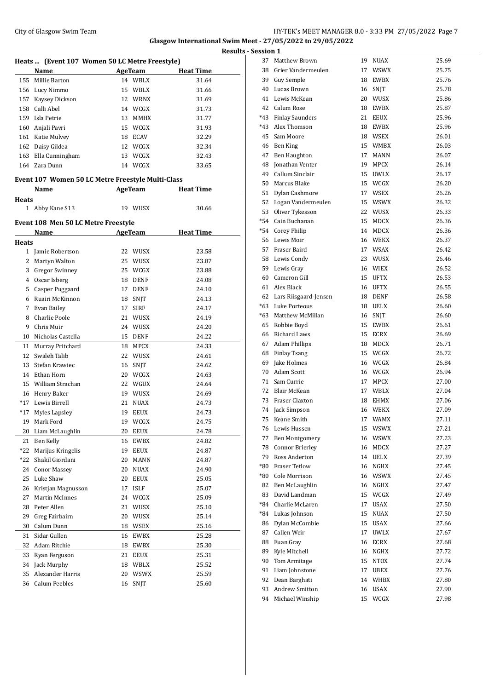### City of Glasgow Swim Team HY-TEK's MEET MANAGER 8.0 - 3:33 PM 27/05/2022 Page 7 **Glasgow International Swim Meet - 27/05/2022 to 29/05/2022**

|              |                                                   |                   |                  | <b>Results - Session 1</b> |        |     |
|--------------|---------------------------------------------------|-------------------|------------------|----------------------------|--------|-----|
|              | Heats  (Event 107 Women 50 LC Metre Freestyle)    |                   |                  |                            | 37 Ma  |     |
|              | Name                                              | <b>AgeTeam</b>    | <b>Heat Time</b> |                            | 38     | Gr  |
|              | 155 Millie Barton                                 | 14 WBLX           | 31.64            |                            | 39     | Gu  |
|              | 156 Lucy Nimmo                                    | 15 WBLX           | 31.66            |                            | 40     | Lu  |
| 157          | Kaysey Dickson                                    | 12 WRNX           | 31.69            |                            | 41     | Le  |
|              | 158 Calli Abel                                    | 14 WCGX           | 31.73            |                            | 42     | Ca  |
|              | 159 Isla Petrie                                   | <b>MMHX</b><br>13 | 31.77            |                            | *43    | Fir |
|              | 160 Anjali Pavri                                  | 15 WCGX           | 31.93            |                            | $*43$  | Al  |
|              | 161 Katie Mulvey                                  | 18 ECAV           | 32.29            |                            | 45 Sa  |     |
|              | 162 Daisy Gildea                                  | 12 WCGX           | 32.34            |                            | 46 Be  |     |
|              | 163 Ella Cunningham                               | 13 WCGX           | 32.43            |                            | 47 Be  |     |
|              | 164 Zara Dunn                                     | 14 WCGX           | 33.65            |                            | 48     | Jor |
|              |                                                   |                   |                  |                            | 49     | Ca  |
|              | Event 107 Women 50 LC Metre Freestyle Multi-Class |                   |                  |                            | 50     | Ma  |
|              | Name                                              | AgeTeam           | <b>Heat Time</b> |                            | 51     | Dy  |
| <b>Heats</b> |                                                   |                   |                  |                            | 52     | Lo  |
|              | 1 Abby Kane S13                                   | 19 WUSX           | 30.66            |                            | 53     | 0li |
|              | Event 108 Men 50 LC Metre Freestyle               |                   |                  |                            | $*54$  | Ca  |
|              | Name                                              | AgeTeam           | <b>Heat Time</b> |                            | *54 Co |     |
| <b>Heats</b> |                                                   |                   |                  |                            | 56 Le  |     |
|              | 1 Jamie Robertson                                 | 22<br>WUSX        | 23.58            |                            | 57 Fra |     |
| 2            | Martyn Walton                                     | 25 WUSX           | 23.87            |                            | 58 Le  |     |
| 3            | <b>Gregor Swinney</b>                             | 25 WCGX           | 23.88            |                            | 59 Le  |     |
|              | 4 Oscar Isberg                                    | 18 DENF           | 24.08            |                            | 60     | Ca  |
|              | 5 Casper Puggaard                                 | 17 DENF           | 24.10            |                            | 61 Al  |     |
|              | 6 Ruairi McKinnon                                 | 18 SNJT           | 24.13            |                            | 62 La  |     |
|              | 7 Evan Bailey                                     | <b>SIRF</b><br>17 | 24.17            |                            | *63 Lu |     |
| 8            | Charlie Poole                                     | 21 WUSX           | 24.19            |                            | $*63$  | Ma  |
| 9            | Chris Muir                                        | 24 WUSX           | 24.20            |                            | 65 Ro  |     |
| 10           | Nicholas Castella                                 | 15 DENF           | 24.22            |                            | 66     | Ri  |
|              |                                                   |                   |                  |                            | 67     | Ad  |
| 11           | Murray Pritchard                                  | 18 MPCX           | 24.33            |                            | 68 Fir |     |
| 12           | Swaleh Talib                                      | 22 WUSX           | 24.61            |                            | 69     | Jal |
| 13           | Stefan Krawiec                                    | 16<br>SNJT        | 24.62            |                            | 70 Ad  |     |
|              | 14 Ethan Horn                                     | 20 WCGX           | 24.63            |                            | 71 Sa  |     |
| 15           | William Strachan                                  | 22 WGUX           | 24.64            |                            | 72     | Bla |
| 16           | Henry Baker                                       | 19 WUSX           | 24.69            |                            | 73     | Fr. |
| $*17$        | Lewis Birrell                                     | NUAX<br>21        | 24.73            |                            | 74 Jac |     |
|              | *17 Myles Lapsley                                 | 19<br>EEUX        | 24.73            |                            | 75     | Ke  |
| 19           | Mark Ford                                         | 19 WCGX           | 24.75            |                            | 76     | Le  |
| 20           | Liam McLaughlin                                   | <b>EEUX</b><br>20 | 24.78            |                            | 77     | Be  |
| 21           | Ben Kelly                                         | EWBX<br>16        | 24.82            |                            | 78     | Co  |
| *22          | Marijus Kringelis                                 | EEUX<br>19        | 24.87            |                            | 79     | Ro  |
| *22          | Shakil Giordani                                   | 20<br><b>MANN</b> | 24.87            |                            | $*80$  | Fr. |
| 24           | <b>Conor Massey</b>                               | <b>NUAX</b><br>20 | 24.90            |                            | $*80$  | Co  |
| 25           | Luke Shaw                                         | <b>EEUX</b><br>20 | 25.05            |                            | 82     | Be  |
| 26           | Kristjan Magnusson                                | <b>ISLF</b><br>17 | 25.07            |                            | 83     | Da  |
| 27           | Martin McInnes                                    | WCGX<br>24        | 25.09            |                            | *84    | Ch  |
| 28           | Peter Allen                                       | 21<br>WUSX        | 25.10            |                            | *84 Lu |     |
| 29           | Greg Fairbairn                                    | 20<br>WUSX        | 25.14            |                            | 86     |     |
| 30           | Calum Dunn                                        | WSEX<br>18        | 25.16            |                            | 87     | Dy  |
| 31           | Sidar Gullen                                      | EWBX<br>16        | 25.28            |                            |        | Ca  |
| 32           | Adam Ritchie                                      | 18<br>EWBX        | 25.30            |                            | 88     | Eu  |
| 33           | Ryan Ferguson                                     | 21<br>EEUX        | 25.31            |                            | 89     | Кy  |
| 34           | Jack Murphy                                       | 18 WBLX           | 25.52            |                            | 90     | To  |
| 35           | Alexander Harris                                  | <b>WSWX</b><br>20 | 25.59            |                            | 91     | Lia |
| 36           | Calum Peebles                                     | 16<br>SNJT        | 25.60            |                            | 92 De  |     |

| <u> 2991011 T</u> |                        |    |             |       |
|-------------------|------------------------|----|-------------|-------|
|                   | 37 Matthew Brown       |    | 19 NUAX     | 25.69 |
| 38                | Grier Vandermeulen     | 17 | WSWX        | 25.75 |
| 39                | Guy Semple             | 18 | EWBX        | 25.76 |
| 40                | Lucas Brown            | 16 | SNJT        | 25.78 |
| 41                | Lewis McKean           | 20 | WUSX        | 25.86 |
| 42                | Calum Rose             | 18 | EWBX        | 25.87 |
| *43               | <b>Finlay Saunders</b> | 21 | EEUX        | 25.96 |
| *43               | Alex Thomson           | 18 | EWBX        | 25.96 |
| 45                | Sam Moore              | 18 | WSEX        | 26.01 |
|                   | 46 Ben King            |    | 15 WMBX     | 26.03 |
| 47                | Ben Haughton           | 17 | MANN        | 26.07 |
|                   | 48 Jonathan Venter     | 19 | MPCX        | 26.14 |
| 49                | Callum Sinclair        |    | 15 UWLX     | 26.17 |
| 50                | Marcus Blake           |    | 15 WCGX     | 26.20 |
| 51                | Dylan Cashmore         | 17 | WSEX        | 26.26 |
| 52                | Logan Vandermeulen     |    | 15 WSWX     | 26.32 |
| 53                | Oliver Tykesson        | 22 | WUSX        | 26.33 |
| *54               | Cain Buchanan          | 15 | MDCX        | 26.36 |
| *54               | <b>Corey Philip</b>    | 14 | MDCX        | 26.36 |
|                   | 56 Lewis Moir          |    | 16 WEKX     | 26.37 |
| 57                | Fraser Baird           |    | 17 WSAX     | 26.42 |
|                   | 58 Lewis Condy         | 23 | WUSX        | 26.46 |
| 59                | Lewis Gray             |    | 16 WIEX     | 26.52 |
|                   | 60 Cameron Gill        | 15 | UFTX        | 26.53 |
|                   | 61 Alex Black          |    | 16 UFTX     | 26.55 |
| 62                | Lars Riisgaard-Jensen  |    |             | 26.58 |
| *63               | Luke Porteous          | 18 | 18 DENF     |       |
|                   |                        |    | UELX        | 26.60 |
| *63               | Matthew McMillan       | 16 | SNJT        | 26.60 |
| 65                | Robbie Boyd            | 15 | EWBX        | 26.61 |
| 66                | Richard Laws           | 15 | ECRX        | 26.69 |
| 67                | <b>Adam Phillips</b>   | 18 | MDCX        | 26.71 |
| 68                | <b>Finlay Tsang</b>    | 15 | WCGX        | 26.72 |
| 69                | Jake Holmes            | 16 | WCGX        | 26.84 |
| 70                | Adam Scott             | 16 | WCGX        | 26.94 |
| 71                | Sam Currie             | 17 | MPCX        | 27.00 |
| 72                | Blair McKean           |    | 17 WBLX     | 27.04 |
| 73                | Fraser Claxton         | 18 | EHMX        | 27.06 |
|                   | 74 Jack Simpson        |    | 16 WEKX     | 27.09 |
|                   | 75 Keane Smith         |    | 17 WAMX     | 27.11 |
|                   | 76 Lewis Hussen        | 15 | WSWX        | 27.21 |
| 77                | <b>Ben Montgomery</b>  | 16 | WSWX        | 27.23 |
| 78                | <b>Connor Brierley</b> | 16 | MDCX        | 27.27 |
| 79                | Ross Anderton          | 14 | UELX        | 27.39 |
| $*80$             | <b>Fraser Tetlow</b>   | 16 | NGHX        | 27.45 |
| *80               | Cole Morrison          | 16 | WSWX        | 27.45 |
| 82                | Ben McLaughlin         | 16 | NGHX        | 27.47 |
| 83                | David Landman          | 15 | WCGX        | 27.49 |
| *84               | Charlie McLaren        | 17 | USAX        | 27.50 |
| *84               | Lukas Johnson          | 15 | <b>NUAX</b> | 27.50 |
| 86                | Dylan McCombie         | 15 | USAX        | 27.66 |
| 87                | Callen Weir            | 17 | <b>UWLX</b> | 27.67 |
| 88                | Euan Gray              | 16 | ECRX        | 27.68 |
| 89                | Kyle Mitchell          | 16 | NGHX        | 27.72 |
| 90                | Tom Armitage           | 15 | NTOX        | 27.74 |
| 91                | Liam Johnstone         | 17 | UBEX        | 27.76 |
| 92                | Dean Barghati          | 14 | WHBX        | 27.80 |
| 93                | <b>Andrew Smitton</b>  | 16 | USAX        | 27.90 |
| 94                | Michael Winship        | 15 | WCGX        | 27.98 |
|                   |                        |    |             |       |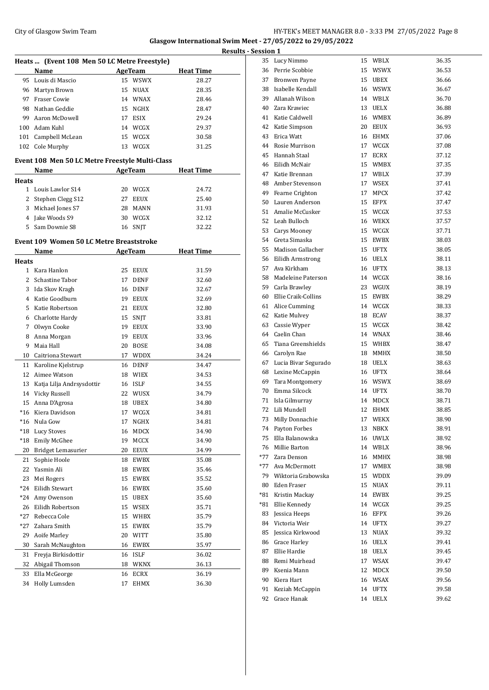## City of Glasgow Swim Team Team Team Fermi Management City of Glasgow Swim Team Fermi Management City of Glasgow Swim Team Fermi Management City of Glasgow Swim Team Fermi Management City of Glasgow Swim Team Fermi Manageme **Glasgow International Swim Meet - 27/05/2022 to 29/05/2022**

| Heats  (Event 108 Men 50 LC Metre Freestyle) |                                                 |    |                    |                  |  |
|----------------------------------------------|-------------------------------------------------|----|--------------------|------------------|--|
|                                              | Name                                            |    | <b>AgeTeam</b>     | <b>Heat Time</b> |  |
| 95                                           | Louis di Mascio                                 |    | 15 WSWX            | 28.27            |  |
| 96                                           | Martyn Brown                                    |    | 15 NUAX            | 28.35            |  |
| 97                                           | Fraser Cowie                                    |    | 14 WNAX            | 28.46            |  |
| 98                                           | Nathan Geddie                                   |    | 15 NGHX            | 28.47            |  |
| 99                                           | Aaron McDowell                                  |    | 17 ESIX            | 29.24            |  |
|                                              | 100 Adam Kuhl                                   |    | 14 WCGX            | 29.37            |  |
|                                              | 101 Campbell McLean                             |    | 15 WCGX            | 30.58            |  |
|                                              | 102 Cole Murphy                                 |    | 13 WCGX            | 31.25            |  |
|                                              |                                                 |    |                    |                  |  |
|                                              | Event 108 Men 50 LC Metre Freestyle Multi-Class |    |                    |                  |  |
|                                              | Name                                            |    | AgeTeam            | <b>Heat Time</b> |  |
| Heats                                        |                                                 |    |                    |                  |  |
|                                              | 1 Louis Lawlor S14                              |    | 20 WCGX            | 24.72            |  |
| 2                                            | Stephen Clegg S12                               |    | 27 EEUX            | 25.40            |  |
| 3                                            | Michael Jones S7                                |    | 28 MANN            | 31.93            |  |
| 4                                            | Jake Woods S9                                   |    | 30 WCGX            | 32.12            |  |
| 5                                            | Sam Downie S8                                   |    | 16 SNJT            | 32.22            |  |
|                                              | Event 109 Women 50 LC Metre Breaststroke        |    |                    |                  |  |
|                                              | Name                                            |    | AgeTeam            | <b>Heat Time</b> |  |
| Heats                                        |                                                 |    |                    |                  |  |
|                                              | 1 Kara Hanlon                                   |    | 25 EEUX            | 31.59            |  |
|                                              | 2 Schastine Tabor                               |    | 17 DENF            | 32.60            |  |
| 3                                            | Ida Skov Kragh                                  |    | 16 DENF            | 32.67            |  |
| 4                                            | Katie Goodburn                                  |    | 19 EEUX            | 32.69            |  |
| 5                                            | Katie Robertson                                 |    | 21 EEUX            | 32.80            |  |
| 6                                            | Charlotte Hardy                                 | 15 | SNJT               | 33.81            |  |
| 7                                            | Olwyn Cooke                                     |    | 19 EEUX            | 33.90            |  |
| 8                                            | Anna Morgan                                     |    | 19 EEUX            | 33.96            |  |
| 9                                            | Maia Hall                                       |    | 20 BOSE            | 34.08            |  |
| 10                                           | Caitriona Stewart                               |    | 17 WDDX            | 34.24            |  |
| 11                                           | Karoline Kjelstrup                              |    | 16 DENF            | 34.47            |  |
| 12                                           | Aimee Watson                                    |    | 18 WIEX            | 34.53            |  |
| 13                                           |                                                 |    |                    | 34.55            |  |
|                                              | Katja Lilja Andrsysdottir                       |    | 16 ISLF<br>22 WUSX | 34.79            |  |
|                                              | 14 Vicky Russell                                |    | 18 UBEX            |                  |  |
| 15                                           | Anna D'Agrosa                                   |    |                    | 34.80            |  |
| *16                                          | Kiera Davidson                                  |    | 17 WCGX            | 34.81            |  |
|                                              | *16   Nula Gow                                  |    | 17 NGHX            | 34.81            |  |
| *18                                          | <b>Lucy Stoves</b>                              | 16 | MDCX               | 34.90            |  |
| $*18$                                        | Emily McGhee                                    | 19 | MCCX               | 34.90            |  |
| 20                                           | Bridget Lemasurier                              | 20 | EEUX               | 34.99            |  |
| 21                                           | Sophie Hoole                                    | 18 | EWBX               | 35.08            |  |
| 22                                           | Yasmin Ali                                      | 18 | EWBX               | 35.46            |  |
| 23                                           | Mei Rogers                                      | 15 | EWBX               | 35.52            |  |
| *24                                          | Eilidh Stewart                                  | 16 | EWBX               | 35.60            |  |
| *24                                          | Amy Owenson                                     | 15 | UBEX               | 35.60            |  |
| 26                                           | Eilidh Robertson                                | 15 | WSEX               | 35.71            |  |
| *27                                          | Rebecca Cole                                    | 15 | WHBX               | 35.79            |  |
| *27                                          | Zahara Smith                                    | 15 | EWBX               | 35.79            |  |
| 29                                           | Aoife Marley                                    | 20 | WITT               | 35.80            |  |
| 30                                           | Sarah McNaughton                                | 16 | EWBX               | 35.97            |  |
| 31                                           | Freyja Birkisdottir                             | 16 | <b>ISLF</b>        | 36.02            |  |
| 32                                           | Abigail Thomson                                 | 18 | WKNX               | 36.13            |  |
| 33                                           | Ella McGeorge                                   | 16 | ECRX               | 36.19            |  |
| 34                                           | Holly Lumsden                                   | 17 | EHMX               | 36.30            |  |

| <b>Results - Session 1</b> |                                     |    |                    |                |
|----------------------------|-------------------------------------|----|--------------------|----------------|
| 35                         | Lucy Nimmo                          |    | 15 WBLX            | 36.35          |
| 36                         | Perrie Scobbie                      |    | 15 WSWX            | 36.53          |
| 37                         | <b>Bronwen Payne</b>                |    | 15 UBEX            | 36.66          |
|                            | 38 Isabelle Kendall                 |    | 16 WSWX            | 36.67          |
|                            | 39 Allanah Wilson                   |    | 14 WBLX            | 36.70          |
|                            | 40 Zara Krawiec                     |    | 13 UELX            | 36.88          |
|                            | 41 Katie Caldwell                   |    | 16 WMBX            | 36.89          |
|                            | 42 Katie Simpson                    |    | 20 EEUX            | 36.93          |
|                            | 43 Erica Watt                       |    | 16 EHMX            | 37.06          |
|                            | 44 Rosie Murrison                   |    | 17 WCGX            | 37.08          |
|                            | 45 Hannah Staal                     | 17 | ECRX               | 37.12          |
| 46                         | Eilidh McNair                       |    | 15 WMBX            | 37.35          |
| 47                         | Katie Brennan                       |    | 17 WBLX            | 37.39          |
|                            | 48 Amber Stevenson                  |    | 17 WSEX            | 37.41          |
|                            | 49 Fearne Crighton                  | 17 | <b>MPCX</b>        | 37.42          |
|                            | 50 Lauren Anderson                  |    | 15 EFPX            | 37.47          |
|                            | 51 Amalie McCusker                  |    | 15 WCGX            | 37.53          |
|                            | 52 Leah Bulloch                     |    | 16 WEKX            | 37.57          |
| 53                         | Carys Mooney                        |    | 15 WCGX            | 37.71          |
|                            | 54 Greta Simaska                    |    | 15 EWBX            | 38.03          |
|                            | 55 Madison Gallacher                |    | 15 UFTX            | 38.05          |
|                            | 56 Eilidh Armstrong                 |    | 16 UELX            | 38.11          |
| 57                         | Ava Kirkham                         |    | 16 UFTX            | 38.13          |
| 58                         | Madeleine Paterson                  |    | 14 WCGX            | 38.16          |
| 59                         | Carla Brawley                       |    | 23 WGUX            | 38.19          |
| 60                         | Ellie Craik-Collins                 |    | 15 EWBX            | 38.29          |
| 61                         | Alice Cumming                       |    | 14 WCGX            | 38.33          |
| 62                         | Katie Mulvey                        |    | 18 ECAV            | 38.37          |
| 63                         | Cassie Wyper                        |    | 15 WCGX            | 38.42          |
|                            | 64 Caelin Chan                      |    | 14 WNAX            | 38.46          |
| 65                         | Tiana Greenshields                  |    | 15 WHBX            | 38.47          |
|                            | 66 Carolyn Rae                      |    | 18 MMHX            | 38.50          |
| 67                         | Lucia Bivar Segurado                |    | 18 UELX            | 38.63          |
|                            | 68 Lexine McCappin                  |    | 16 UFTX            | 38.64          |
|                            | 69 Tara Montgomery                  |    | 16 WSWX            | 38.69          |
| 70                         | Emma Silcock                        |    | 14 UFTX            | 38.70          |
| 71                         | Isla Gilmurray                      | 14 | MDCX               | 38.71          |
| 72                         | Lili Mundell                        | 12 | EHMX               | 38.85          |
| 73                         | Milly Donnachie                     | 17 | WEKX               | 38.90          |
| 74                         | Payton Forbes                       | 13 | NBKX               | 38.91          |
| 75                         | Ella Balanowska<br>76 Millie Barton |    | 16 UWLX<br>14 WBLX | 38.92<br>38.96 |
|                            | *77 Zara Denson                     |    | 16 MMHX            | 38.98          |
|                            | *77 Ava McDermott                   |    | 17 WMBX            | 38.98          |
|                            | 79 Wiktoria Grabowska               |    | 15 WDDX            | 39.09          |
|                            | 80 Eden Fraser                      |    | 15 NUAX            | 39.11          |
|                            | *81 Kristin Mackay                  |    | 14 EWBX            | 39.25          |
| *81                        | Ellie Kennedy                       |    | 14 WCGX            | 39.25          |
| 83                         | Jessica Heeps                       |    | 16 EFPX            | 39.26          |
|                            | 84 Victoria Weir                    |    | 14 UFTX            | 39.27          |
| 85                         | Jessica Kirkwood                    |    | 13 NUAX            | 39.32          |
| 86                         | Grace Harley                        |    | 16 UELX            | 39.41          |
| 87                         | Ellie Hardie                        |    | 18 UELX            | 39.45          |
| 88                         | Remi Muirhead                       |    | 17 WSAX            | 39.47          |
| 89                         | Ksenia Mann                         |    | 12 MDCX            | 39.50          |
|                            | 90 Kiera Hart                       |    | 16 WSAX            | 39.56          |
| 91                         | Keziah McCappin                     |    | 14 UFTX            | 39.58          |
| 92                         | Grace Hanak                         |    | 14 UELX            | 39.62          |
|                            |                                     |    |                    |                |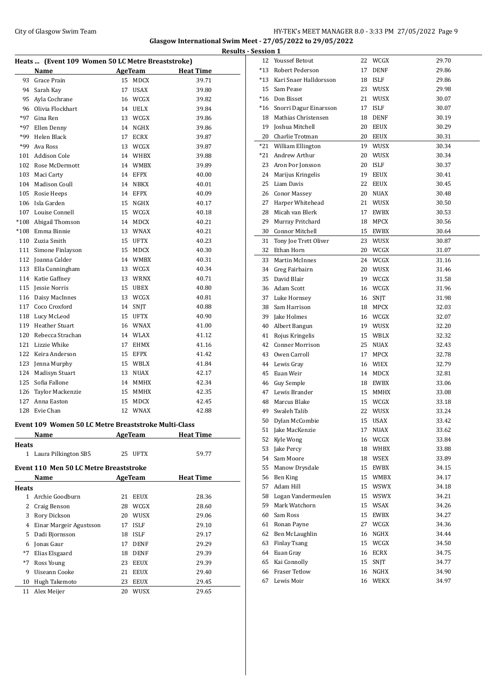## City of Glasgow Swim Team Team Feam Fermion States of the HY-TEK's MEET MANAGER 8.0 - 3:33 PM 27/05/2022 Page 9 **Glasgow International Swim Meet - 27/05/2022 to 29/05/2022**

**Results - Session 1**

|        |                                                      |    |                |                  | <b>Result</b> |
|--------|------------------------------------------------------|----|----------------|------------------|---------------|
|        | Heats  (Event 109 Women 50 LC Metre Breaststroke)    |    |                |                  |               |
|        | Name                                                 |    | <b>AgeTeam</b> | <b>Heat Time</b> |               |
|        | 93 Grace Prain                                       |    | 15 MDCX        | 39.71            |               |
| 94     | Sarah Kay                                            | 17 | USAX           | 39.80            |               |
| 95     | Ayla Cochrane                                        |    | 16 WCGX        | 39.82            |               |
| 96     | Olivia Flockhart                                     |    | 14 UELX        | 39.84            |               |
| $*97$  | Gina Ren                                             |    | 13 WCGX        | 39.86            |               |
| *97    | Ellen Denny                                          |    | 14 NGHX        | 39.86            |               |
| *99    | Helen Black                                          |    | 17 ECRX        | 39.87            |               |
| *99    | Ava Ross                                             |    | 13 WCGX        | 39.87            |               |
| 101    | Addison Cole                                         |    | 14 WHBX        | 39.88            |               |
|        | 102 Rose McDermott                                   |    | 14 WMBX        | 39.89            |               |
|        | 103 Maci Carty                                       |    | 14 EFPX        | 40.00            |               |
|        | 104 Madison Coull                                    |    | 14 NBKX        | 40.01            |               |
| 105    | Rosie Heeps                                          |    | 14 EFPX        | 40.09            |               |
| 106    | Isla Garden                                          |    | 15 NGHX        | 40.17            |               |
| 107    | Louise Connell                                       |    | 15 WCGX        | 40.18            |               |
| $*108$ | Abigail Thomson                                      |    | 14 MDCX        | 40.21            |               |
| $*108$ | Emma Binnie                                          |    | 13 WNAX        | 40.21            |               |
| 110    | Zuzia Smith                                          |    | 15 UFTX        | 40.23            |               |
| 111    | Simone Finlayson                                     |    | 15 MDCX        | 40.30            |               |
| 112    | Joanna Calder                                        |    | 14 WMBX        | 40.31            |               |
| 113    | Ella Cunningham                                      |    | 13 WCGX        | 40.34            |               |
|        | 114 Katie Gaffney                                    |    | 13 WRNX        | 40.71            |               |
|        | 115 Jessie Norris                                    |    | 15 UBEX        | 40.80            |               |
|        | 116 Daisy MacInnes                                   |    | 13 WCGX        | 40.81            |               |
|        | 117 Coco Croxford                                    |    | 14 SNJT        | 40.88            |               |
| 118    | Lucy McLeod                                          |    | 15 UFTX        | 40.90            |               |
|        | 119 Heather Stuart                                   |    | 16 WNAX        | 41.00            |               |
|        | 120 Rebecca Strachan                                 |    | 14 WLAX        | 41.12            |               |
| 121    | Lizzie Whike                                         |    | 17 EHMX        | 41.16            |               |
| 122    | Keira Anderson                                       |    | 15 EFPX        | 41.42            |               |
| 123    | Jenna Murphy                                         |    | 15 WBLX        | 41.84            |               |
| 124    | Madisyn Stuart                                       |    | 13 NUAX        | 42.17            |               |
| 125    | Sofia Fallone                                        |    | 14 MMHX        | 42.34            |               |
| 126    | Taylor Mackenzie                                     |    | 15 MMHX        | 42.35            |               |
|        | 127 Anna Easton                                      |    | 15 MDCX        | 42.45            |               |
| 128    | Evie Chan                                            | 12 | <b>WNAX</b>    | 42.88            |               |
|        |                                                      |    |                |                  |               |
|        | Event 109 Women 50 LC Metre Breaststroke Multi-Class |    |                |                  |               |
|        | Name                                                 |    | AgeTeam        | <b>Heat Time</b> |               |
| Heats  |                                                      |    |                |                  |               |
|        | 1 Laura Pilkington SB5                               |    | 25 UFTX        | 59.77            |               |
|        | Event 110 Men 50 LC Metre Breaststroke               |    |                |                  |               |
|        | Name                                                 |    | AgeTeam        | <b>Heat Time</b> |               |
| Heats  |                                                      |    |                |                  |               |
| 1      | Archie Goodburn                                      |    | 21 EEUX        | 28.36            |               |
| 2      | Craig Benson                                         |    | 28 WCGX        | 28.60            |               |
| 3      | Rory Dickson                                         |    | 20 WUSX        | 29.06            |               |
| 4      | Einar Margeir Agustsson                              |    | 17 ISLF        | 29.10            |               |
| 5      | Dadi Bjornsson                                       |    | 18 ISLF        | 29.17            |               |
|        | 6 Jonas Gaur                                         |    | 17 DENF        | 29.29            |               |
|        | *7 Elias Elsgaard                                    |    | 18 DENF        | 29.39            |               |
| $*7$   | Ross Young                                           |    | 23 EEUX        | 29.39            |               |
| 9      | Uiseann Cooke                                        |    | 21 EEUX        | 29.40            |               |
| 10     | Hugh Takemoto                                        |    | 23 EEUX        | 29.45            |               |
| 11     | Alex Meijer                                          |    | 20 WUSX        | 29.65            |               |
|        |                                                      |    |                |                  |               |
|        |                                                      |    |                |                  |               |

| <u>session 1</u> |                            |    |               |       |
|------------------|----------------------------|----|---------------|-------|
|                  | 12 Youssef Betout          |    | 22 WCGX       | 29.70 |
| $*13$            | Robert Pederson            | 17 | DENF          | 29.86 |
| $*13$            | Kari Snaer Halldorsson     | 18 | ISLF          | 29.86 |
| 15               | Sam Pease                  |    | 23 WUSX       | 29.98 |
|                  | *16 Don Bisset             | 21 | WUSX          | 30.07 |
|                  | *16 Snorri Dagur Einarsson | 17 | <b>ISLF</b>   | 30.07 |
| 18               | Mathias Christensen        | 18 | <b>DENF</b>   | 30.19 |
| 19               | Joshua Mitchell            | 20 | <b>EEUX</b>   | 30.29 |
|                  | 20 Charlie Trotman         |    | 20 EEUX       | 30.31 |
|                  | *21 William Ellington      |    | 19 WUSX       | 30.34 |
|                  | *21 Andrew Arthur          |    | 20 WUSX       | 30.34 |
| 23               | Aron Þor Jonsson           | 20 | <b>ISLF</b>   | 30.37 |
| 24               |                            | 19 | <b>EEUX</b>   | 30.41 |
|                  | Marijus Kringelis          |    |               |       |
| 25               | Liam Davis                 | 22 | EEUX          | 30.45 |
|                  | 26 Conor Massey            |    | 20 NUAX       | 30.48 |
|                  | 27 Harper Whitehead        |    | 21 WUSX       | 30.50 |
|                  | 28 Micah van Blerk         |    | 17 EWBX       | 30.53 |
| 29               | Murray Pritchard           |    | 18 MPCX       | 30.56 |
| 30               | Connor Mitchell            |    | 15 EWBX       | 30.64 |
| 31               | Tony Joe Trett Oliver      | 23 | WUSX          | 30.87 |
| 32               | Ethan Horn                 |    | 20 WCGX       | 31.07 |
| 33               | <b>Martin McInnes</b>      |    | 24 WCGX       | 31.16 |
|                  | 34 Greg Fairbairn          | 20 | WUSX          | 31.46 |
| 35               | David Blair                |    | 19 WCGX       | 31.58 |
|                  | 36 Adam Scott              |    | 16 WCGX       | 31.96 |
|                  | 37 Luke Hornsey            |    | 16 SNJT       | 31.98 |
|                  | 38 Sam Harrison            |    | 18 MPCX       | 32.03 |
| 39               | Jake Holmes                |    | 16 WCGX       | 32.07 |
| 40               | Albert Bangun              |    | 19 WUSX       | 32.20 |
| 41               | Rojus Kringelis            |    | 15 WBLX       | 32.32 |
| 42               | Conner Morrison            |    | 25 NUAX       | 32.43 |
| 43               | Owen Carroll               | 17 | MPCX          | 32.78 |
| 44               | Lewis Gray                 |    | 16 WIEX       | 32.79 |
| 45               | Euan Weir                  |    | 14 MDCX       | 32.81 |
|                  | 46 Guy Semple              |    | 18 EWBX       | 33.06 |
| 47               | Lewis Brander              | 15 | MMHX          | 33.08 |
| 48               | Marcus Blake               | 15 | WCGX          | 33.18 |
|                  | 49 Swaleh Talib            | 22 | WUSX          |       |
|                  | Dylan McCombie             |    |               | 33.24 |
| 50               |                            | 15 | USAX          | 33.42 |
| 51               | Jake MacKenzie             | 17 | NUAX          | 33.62 |
| 52               | Kyle Wong                  |    | 16 WCGX       | 33.84 |
| 53               | Jake Percy                 |    | 18 WHBX       | 33.88 |
|                  | 54 Sam Moore               |    | 18 WSEX       | 33.89 |
|                  | 55 Manow Drysdale          |    | 15 EWBX       | 34.15 |
| 56               | Ben King                   |    | 15 WMBX       | 34.17 |
| 57               | Adam Hill                  |    | 15 WSWX       | 34.18 |
| 58               | Logan Vandermeulen         |    | 15 WSWX       | 34.21 |
| 59               | Mark Watchorn              |    | 15 WSAX       | 34.26 |
| 60               | Sam Ross                   | 15 | EWBX          | 34.27 |
| 61               | Ronan Payne                | 27 | WCGX          | 34.36 |
| 62               | Ben McLaughlin             | 16 | $_{\rm NGHX}$ | 34.44 |
| 63               | Finlay Tsang               | 15 | WCGX          | 34.50 |
| 64               | Euan Gray                  |    | 16 ECRX       | 34.75 |
| 65               | Kai Connolly               | 15 | SNJT          | 34.77 |
| 66               | Fraser Tetlow              | 16 | NGHX          | 34.90 |
| 67               | Lewis Moir                 |    | 16 WEKX       | 34.97 |
|                  |                            |    |               |       |